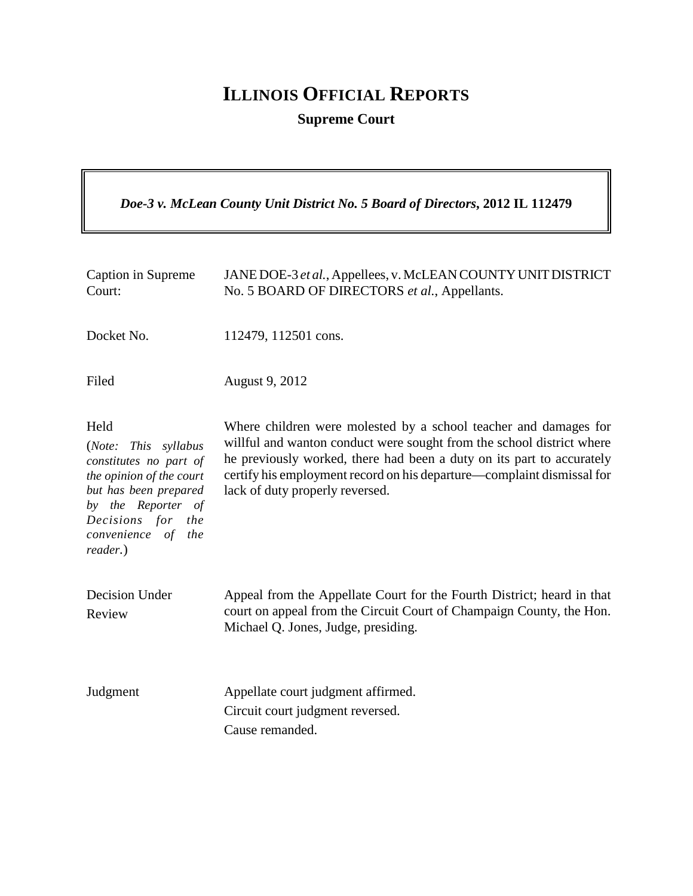# **ILLINOIS OFFICIAL REPORTS**

**Supreme Court**

*Doe-3 v. McLean County Unit District No. 5 Board of Directors***, 2012 IL 112479**

| Caption in Supreme<br>Court:                                                                                                                                                                | JANE DOE-3 et al., Appellees, v. McLEAN COUNTY UNIT DISTRICT<br>No. 5 BOARD OF DIRECTORS et al., Appellants.                                                                                                                                                                                                                    |
|---------------------------------------------------------------------------------------------------------------------------------------------------------------------------------------------|---------------------------------------------------------------------------------------------------------------------------------------------------------------------------------------------------------------------------------------------------------------------------------------------------------------------------------|
| Docket No.                                                                                                                                                                                  | 112479, 112501 cons.                                                                                                                                                                                                                                                                                                            |
| Filed                                                                                                                                                                                       | August 9, 2012                                                                                                                                                                                                                                                                                                                  |
| Held<br>(Note:<br>This syllabus<br>constitutes no part of<br>the opinion of the court<br>but has been prepared<br>by the Reporter of<br>Decisions for the<br>convenience of the<br>reader.) | Where children were molested by a school teacher and damages for<br>willful and wanton conduct were sought from the school district where<br>he previously worked, there had been a duty on its part to accurately<br>certify his employment record on his departure-complaint dismissal for<br>lack of duty properly reversed. |
| Decision Under<br>Review                                                                                                                                                                    | Appeal from the Appellate Court for the Fourth District; heard in that<br>court on appeal from the Circuit Court of Champaign County, the Hon.<br>Michael Q. Jones, Judge, presiding.                                                                                                                                           |
| Judgment                                                                                                                                                                                    | Appellate court judgment affirmed.<br>Circuit court judgment reversed.<br>Cause remanded.                                                                                                                                                                                                                                       |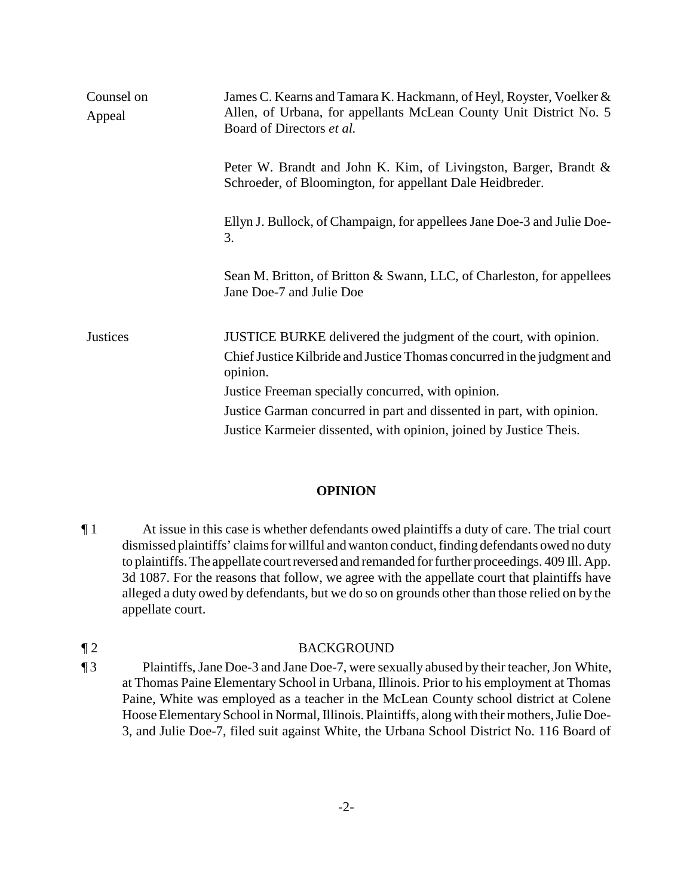| Counsel on<br>Appeal | James C. Kearns and Tamara K. Hackmann, of Heyl, Royster, Voelker &<br>Allen, of Urbana, for appellants McLean County Unit District No. 5<br>Board of Directors et al. |
|----------------------|------------------------------------------------------------------------------------------------------------------------------------------------------------------------|
|                      | Peter W. Brandt and John K. Kim, of Livingston, Barger, Brandt &<br>Schroeder, of Bloomington, for appellant Dale Heidbreder.                                          |
|                      | Ellyn J. Bullock, of Champaign, for appellees Jane Doe-3 and Julie Doe-<br>3.                                                                                          |
|                      | Sean M. Britton, of Britton & Swann, LLC, of Charleston, for appellees<br>Jane Doe-7 and Julie Doe                                                                     |
| <b>Justices</b>      | JUSTICE BURKE delivered the judgment of the court, with opinion.                                                                                                       |
|                      | Chief Justice Kilbride and Justice Thomas concurred in the judgment and<br>opinion.                                                                                    |
|                      | Justice Freeman specially concurred, with opinion.                                                                                                                     |
|                      | Justice Garman concurred in part and dissented in part, with opinion.                                                                                                  |
|                      | Justice Karmeier dissented, with opinion, joined by Justice Theis.                                                                                                     |

### **OPINION**

¶ 1 At issue in this case is whether defendants owed plaintiffs a duty of care. The trial court dismissed plaintiffs' claims for willful and wanton conduct, finding defendants owed no duty to plaintiffs. The appellate court reversed and remanded for further proceedings. 409 Ill. App. 3d 1087. For the reasons that follow, we agree with the appellate court that plaintiffs have alleged a duty owed by defendants, but we do so on grounds other than those relied on by the appellate court.

## ¶ 2 BACKGROUND

¶ 3 Plaintiffs, Jane Doe-3 and Jane Doe-7, were sexually abused by their teacher, Jon White, at Thomas Paine Elementary School in Urbana, Illinois. Prior to his employment at Thomas Paine, White was employed as a teacher in the McLean County school district at Colene Hoose Elementary School in Normal, Illinois. Plaintiffs, along with their mothers, Julie Doe-3, and Julie Doe-7, filed suit against White, the Urbana School District No. 116 Board of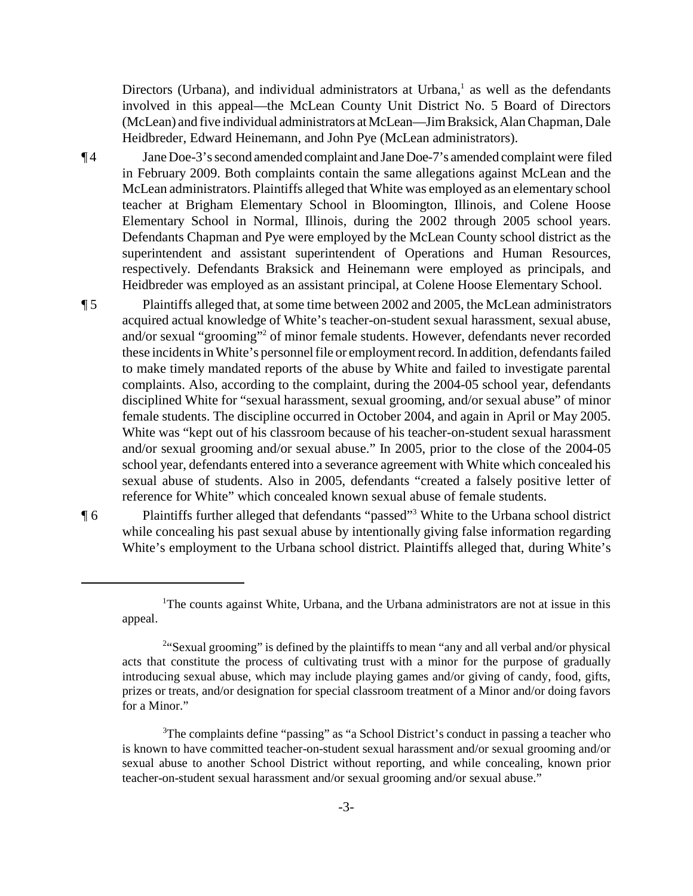Directors (Urbana), and individual administrators at Urbana, $<sup>1</sup>$  as well as the defendants</sup> involved in this appeal—the McLean County Unit District No. 5 Board of Directors (McLean) and five individual administrators at McLean—Jim Braksick, Alan Chapman, Dale Heidbreder, Edward Heinemann, and John Pye (McLean administrators).

¶ 4 Jane Doe-3's second amended complaint and JaneDoe-7's amended complaint were filed in February 2009. Both complaints contain the same allegations against McLean and the McLean administrators. Plaintiffs alleged that White was employed as an elementary school teacher at Brigham Elementary School in Bloomington, Illinois, and Colene Hoose Elementary School in Normal, Illinois, during the 2002 through 2005 school years. Defendants Chapman and Pye were employed by the McLean County school district as the superintendent and assistant superintendent of Operations and Human Resources, respectively. Defendants Braksick and Heinemann were employed as principals, and Heidbreder was employed as an assistant principal, at Colene Hoose Elementary School.

¶ 5 Plaintiffs alleged that, at some time between 2002 and 2005, the McLean administrators acquired actual knowledge of White's teacher-on-student sexual harassment, sexual abuse, and/or sexual "grooming"<sup>2</sup> of minor female students. However, defendants never recorded these incidents in White's personnel file or employment record.In addition, defendants failed to make timely mandated reports of the abuse by White and failed to investigate parental complaints. Also, according to the complaint, during the 2004-05 school year, defendants disciplined White for "sexual harassment, sexual grooming, and/or sexual abuse" of minor female students. The discipline occurred in October 2004, and again in April or May 2005. White was "kept out of his classroom because of his teacher-on-student sexual harassment and/or sexual grooming and/or sexual abuse." In 2005, prior to the close of the 2004-05 school year, defendants entered into a severance agreement with White which concealed his sexual abuse of students. Also in 2005, defendants "created a falsely positive letter of reference for White" which concealed known sexual abuse of female students.

**The Plaintiffs further alleged that defendants "passed"** White to the Urbana school district while concealing his past sexual abuse by intentionally giving false information regarding White's employment to the Urbana school district. Plaintiffs alleged that, during White's

<sup>&</sup>lt;sup>1</sup>The counts against White, Urbana, and the Urbana administrators are not at issue in this appeal.

<sup>&</sup>lt;sup>2"</sup>Sexual grooming" is defined by the plaintiffs to mean "any and all verbal and/or physical acts that constitute the process of cultivating trust with a minor for the purpose of gradually introducing sexual abuse, which may include playing games and/or giving of candy, food, gifts, prizes or treats, and/or designation for special classroom treatment of a Minor and/or doing favors for a Minor."

<sup>&</sup>lt;sup>3</sup>The complaints define "passing" as "a School District's conduct in passing a teacher who is known to have committed teacher-on-student sexual harassment and/or sexual grooming and/or sexual abuse to another School District without reporting, and while concealing, known prior teacher-on-student sexual harassment and/or sexual grooming and/or sexual abuse."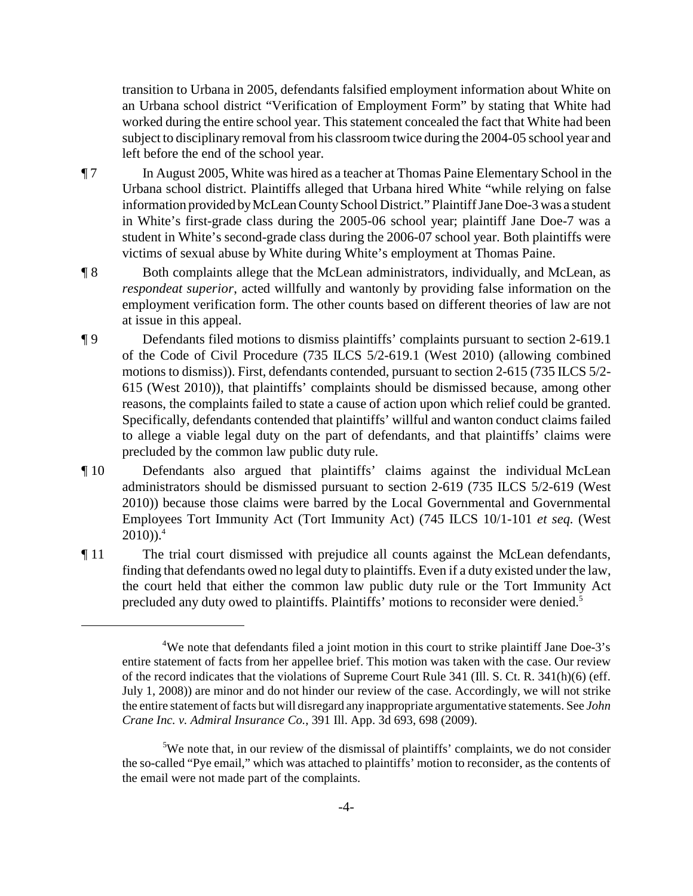transition to Urbana in 2005, defendants falsified employment information about White on an Urbana school district "Verification of Employment Form" by stating that White had worked during the entire school year. This statement concealed the fact that White had been subject to disciplinary removal from his classroom twice during the 2004-05 school year and left before the end of the school year.

- ¶ 7 In August 2005, White was hired as a teacher at Thomas Paine Elementary School in the Urbana school district. Plaintiffs alleged that Urbana hired White "while relying on false information provided by McLean County School District." Plaintiff Jane Doe-3 was a student in White's first-grade class during the 2005-06 school year; plaintiff Jane Doe-7 was a student in White's second-grade class during the 2006-07 school year. Both plaintiffs were victims of sexual abuse by White during White's employment at Thomas Paine.
- ¶ 8 Both complaints allege that the McLean administrators, individually, and McLean, as *respondeat superior*, acted willfully and wantonly by providing false information on the employment verification form. The other counts based on different theories of law are not at issue in this appeal.
- ¶ 9 Defendants filed motions to dismiss plaintiffs' complaints pursuant to section 2-619.1 of the Code of Civil Procedure (735 ILCS 5/2-619.1 (West 2010) (allowing combined motions to dismiss)). First, defendants contended, pursuant to section 2-615 (735 ILCS 5/2- 615 (West 2010)), that plaintiffs' complaints should be dismissed because, among other reasons, the complaints failed to state a cause of action upon which relief could be granted. Specifically, defendants contended that plaintiffs' willful and wanton conduct claims failed to allege a viable legal duty on the part of defendants, and that plaintiffs' claims were precluded by the common law public duty rule.
- ¶ 10 Defendants also argued that plaintiffs' claims against the individual McLean administrators should be dismissed pursuant to section 2-619 (735 ILCS 5/2-619 (West 2010)) because those claims were barred by the Local Governmental and Governmental Employees Tort Immunity Act (Tort Immunity Act) (745 ILCS 10/1-101 *et seq.* (West  $2010)$ ).<sup>4</sup>
- ¶ 11 The trial court dismissed with prejudice all counts against the McLean defendants, finding that defendants owed no legal duty to plaintiffs. Even if a duty existed under the law, the court held that either the common law public duty rule or the Tort Immunity Act precluded any duty owed to plaintiffs. Plaintiffs' motions to reconsider were denied.<sup>5</sup>

-4-

<sup>&</sup>lt;sup>4</sup>We note that defendants filed a joint motion in this court to strike plaintiff Jane Doe-3's entire statement of facts from her appellee brief. This motion was taken with the case. Our review of the record indicates that the violations of Supreme Court Rule 341 (Ill. S. Ct. R. 341(h)(6) (eff. July 1, 2008)) are minor and do not hinder our review of the case. Accordingly, we will not strike the entire statement of facts but will disregard any inappropriate argumentative statements. See *John Crane Inc. v. Admiral Insurance Co.*, 391 Ill. App. 3d 693, 698 (2009).

 $5$ We note that, in our review of the dismissal of plaintiffs' complaints, we do not consider the so-called "Pye email," which was attached to plaintiffs' motion to reconsider, as the contents of the email were not made part of the complaints.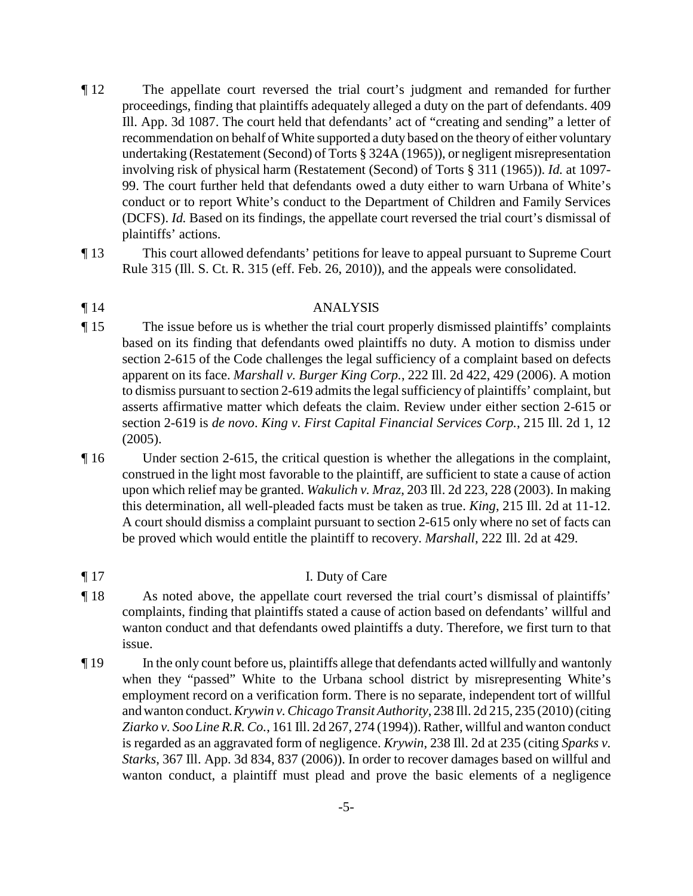- ¶ 12 The appellate court reversed the trial court's judgment and remanded for further proceedings, finding that plaintiffs adequately alleged a duty on the part of defendants. 409 Ill. App. 3d 1087. The court held that defendants' act of "creating and sending" a letter of recommendation on behalf of White supported a duty based on the theory of either voluntary undertaking (Restatement (Second) of Torts § 324A (1965)), or negligent misrepresentation involving risk of physical harm (Restatement (Second) of Torts § 311 (1965)). *Id.* at 1097- 99. The court further held that defendants owed a duty either to warn Urbana of White's conduct or to report White's conduct to the Department of Children and Family Services (DCFS). *Id.* Based on its findings, the appellate court reversed the trial court's dismissal of plaintiffs' actions.
- ¶ 13 This court allowed defendants' petitions for leave to appeal pursuant to Supreme Court Rule 315 (Ill. S. Ct. R. 315 (eff. Feb. 26, 2010)), and the appeals were consolidated.

## ¶ 14 ANALYSIS

- ¶ 15 The issue before us is whether the trial court properly dismissed plaintiffs' complaints based on its finding that defendants owed plaintiffs no duty. A motion to dismiss under section 2-615 of the Code challenges the legal sufficiency of a complaint based on defects apparent on its face. *Marshall v. Burger King Corp.*, 222 Ill. 2d 422, 429 (2006). A motion to dismiss pursuant to section 2-619 admits the legal sufficiency of plaintiffs' complaint, but asserts affirmative matter which defeats the claim. Review under either section 2-615 or section 2-619 is *de novo*. *King v. First Capital Financial Services Corp.*, 215 Ill. 2d 1, 12 (2005).
- ¶ 16 Under section 2-615, the critical question is whether the allegations in the complaint, construed in the light most favorable to the plaintiff, are sufficient to state a cause of action upon which relief may be granted. *Wakulich v. Mraz*, 203 Ill. 2d 223, 228 (2003). In making this determination, all well-pleaded facts must be taken as true. *King*, 215 Ill. 2d at 11-12. A court should dismiss a complaint pursuant to section 2-615 only where no set of facts can be proved which would entitle the plaintiff to recovery. *Marshall*, 222 Ill. 2d at 429.
- ¶ 17 I. Duty of Care
- ¶ 18 As noted above, the appellate court reversed the trial court's dismissal of plaintiffs' complaints, finding that plaintiffs stated a cause of action based on defendants' willful and wanton conduct and that defendants owed plaintiffs a duty. Therefore, we first turn to that issue.
- ¶ 19 In the only count before us, plaintiffs allege that defendants acted willfully and wantonly when they "passed" White to the Urbana school district by misrepresenting White's employment record on a verification form. There is no separate, independent tort of willful and wanton conduct. *Krywin v. Chicago Transit Authority*, 238 Ill. 2d 215, 235 (2010) (citing *Ziarko v. Soo Line R.R. Co.*, 161 Ill. 2d 267, 274 (1994)). Rather, willful and wanton conduct is regarded as an aggravated form of negligence. *Krywin*, 238 Ill. 2d at 235 (citing *Sparks v. Starks*, 367 Ill. App. 3d 834, 837 (2006)). In order to recover damages based on willful and wanton conduct, a plaintiff must plead and prove the basic elements of a negligence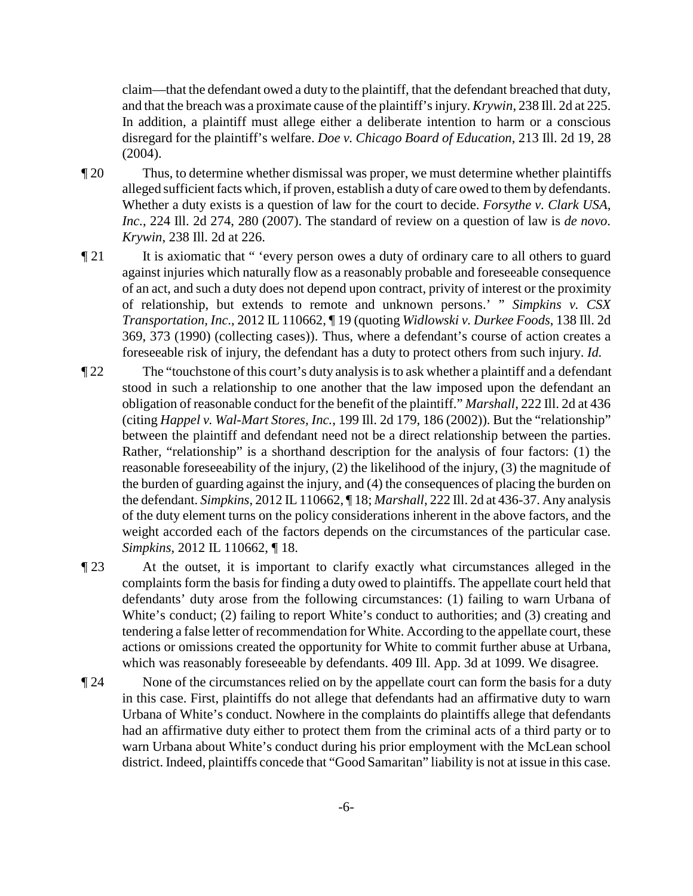claim—that the defendant owed a duty to the plaintiff, that the defendant breached that duty, and that the breach was a proximate cause of the plaintiff's injury. *Krywin*, 238 Ill. 2d at 225. In addition, a plaintiff must allege either a deliberate intention to harm or a conscious disregard for the plaintiff's welfare. *Doe v. Chicago Board of Education*, 213 Ill. 2d 19, 28 (2004).

- ¶ 20 Thus, to determine whether dismissal was proper, we must determine whether plaintiffs alleged sufficient facts which, if proven, establish a duty of care owed to them by defendants. Whether a duty exists is a question of law for the court to decide. *Forsythe v. Clark USA, Inc.*, 224 Ill. 2d 274, 280 (2007). The standard of review on a question of law is *de novo*. *Krywin*, 238 Ill. 2d at 226.
- ¶ 21 It is axiomatic that " 'every person owes a duty of ordinary care to all others to guard against injuries which naturally flow as a reasonably probable and foreseeable consequence of an act, and such a duty does not depend upon contract, privity of interest or the proximity of relationship, but extends to remote and unknown persons.' " *Simpkins v. CSX Transportation, Inc.*, 2012 IL 110662, ¶ 19 (quoting *Widlowski v. Durkee Foods*, 138 Ill. 2d 369, 373 (1990) (collecting cases)). Thus, where a defendant's course of action creates a foreseeable risk of injury, the defendant has a duty to protect others from such injury. *Id.*
- ¶ 22 The "touchstone of this court's duty analysis is to ask whether a plaintiff and a defendant stood in such a relationship to one another that the law imposed upon the defendant an obligation of reasonable conduct for the benefit of the plaintiff." *Marshall*, 222 Ill. 2d at 436 (citing *Happel v. Wal-Mart Stores, Inc.*, 199 Ill. 2d 179, 186 (2002)). But the "relationship" between the plaintiff and defendant need not be a direct relationship between the parties. Rather, "relationship" is a shorthand description for the analysis of four factors: (1) the reasonable foreseeability of the injury, (2) the likelihood of the injury, (3) the magnitude of the burden of guarding against the injury, and (4) the consequences of placing the burden on the defendant. *Simpkins*, 2012 IL 110662, ¶ 18; *Marshall*, 222 Ill. 2d at 436-37. Any analysis of the duty element turns on the policy considerations inherent in the above factors, and the weight accorded each of the factors depends on the circumstances of the particular case. *Simpkins*, 2012 IL 110662, ¶ 18.
- ¶ 23 At the outset, it is important to clarify exactly what circumstances alleged in the complaints form the basis for finding a duty owed to plaintiffs. The appellate court held that defendants' duty arose from the following circumstances: (1) failing to warn Urbana of White's conduct; (2) failing to report White's conduct to authorities; and (3) creating and tendering a false letter of recommendation for White. According to the appellate court, these actions or omissions created the opportunity for White to commit further abuse at Urbana, which was reasonably foreseeable by defendants. 409 Ill. App. 3d at 1099. We disagree.
- **Text** 24 None of the circumstances relied on by the appellate court can form the basis for a duty in this case. First, plaintiffs do not allege that defendants had an affirmative duty to warn Urbana of White's conduct. Nowhere in the complaints do plaintiffs allege that defendants had an affirmative duty either to protect them from the criminal acts of a third party or to warn Urbana about White's conduct during his prior employment with the McLean school district. Indeed, plaintiffs concede that "Good Samaritan" liability is not at issue in this case.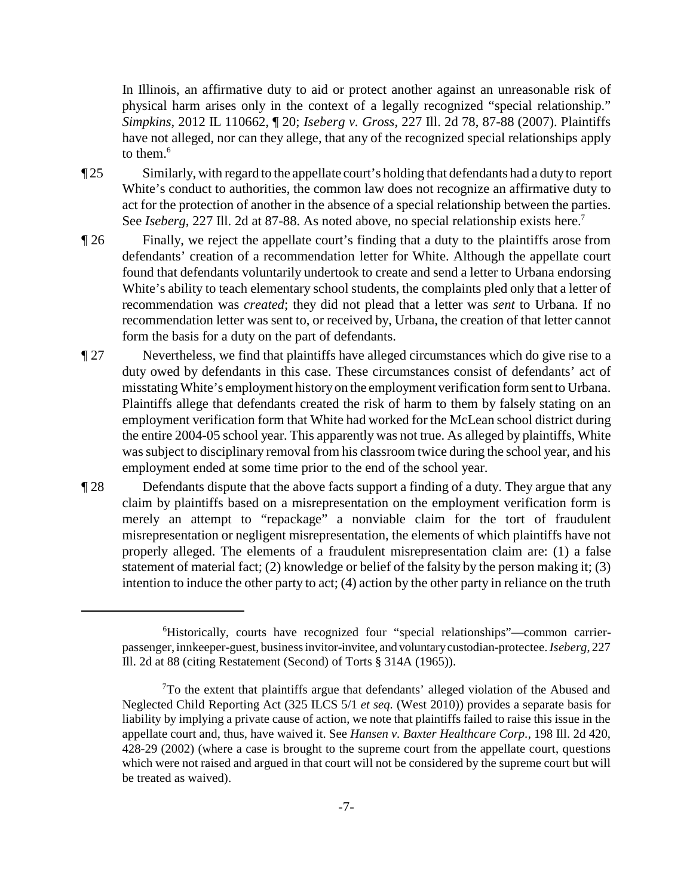In Illinois, an affirmative duty to aid or protect another against an unreasonable risk of physical harm arises only in the context of a legally recognized "special relationship." *Simpkins*, 2012 IL 110662, ¶ 20; *Iseberg v. Gross*, 227 Ill. 2d 78, 87-88 (2007). Plaintiffs have not alleged, nor can they allege, that any of the recognized special relationships apply to them. $6$ 

- ¶ 25 Similarly, with regard to the appellate court's holding that defendants had a duty to report White's conduct to authorities, the common law does not recognize an affirmative duty to act for the protection of another in the absence of a special relationship between the parties. See *Iseberg*, 227 Ill. 2d at 87-88. As noted above, no special relationship exists here.<sup>7</sup>
- ¶ 26 Finally, we reject the appellate court's finding that a duty to the plaintiffs arose from defendants' creation of a recommendation letter for White. Although the appellate court found that defendants voluntarily undertook to create and send a letter to Urbana endorsing White's ability to teach elementary school students, the complaints pled only that a letter of recommendation was *created*; they did not plead that a letter was *sent* to Urbana. If no recommendation letter was sent to, or received by, Urbana, the creation of that letter cannot form the basis for a duty on the part of defendants.
- ¶ 27 Nevertheless, we find that plaintiffs have alleged circumstances which do give rise to a duty owed by defendants in this case. These circumstances consist of defendants' act of misstating White's employment history on the employment verification form sent to Urbana. Plaintiffs allege that defendants created the risk of harm to them by falsely stating on an employment verification form that White had worked for the McLean school district during the entire 2004-05 school year. This apparently was not true. As alleged by plaintiffs, White was subject to disciplinary removal from his classroom twice during the school year, and his employment ended at some time prior to the end of the school year.
- ¶ 28 Defendants dispute that the above facts support a finding of a duty. They argue that any claim by plaintiffs based on a misrepresentation on the employment verification form is merely an attempt to "repackage" a nonviable claim for the tort of fraudulent misrepresentation or negligent misrepresentation, the elements of which plaintiffs have not properly alleged. The elements of a fraudulent misrepresentation claim are: (1) a false statement of material fact; (2) knowledge or belief of the falsity by the person making it; (3) intention to induce the other party to act; (4) action by the other party in reliance on the truth

<sup>&</sup>lt;sup>6</sup>Historically, courts have recognized four "special relationships"-common carrierpassenger, innkeeper-guest, business invitor-invitee, and voluntarycustodian-protectee.*Iseberg*, 227 Ill. 2d at 88 (citing Restatement (Second) of Torts § 314A (1965)).

 $T\sigma$  the extent that plaintiffs argue that defendants' alleged violation of the Abused and Neglected Child Reporting Act (325 ILCS 5/1 *et seq.* (West 2010)) provides a separate basis for liability by implying a private cause of action, we note that plaintiffs failed to raise this issue in the appellate court and, thus, have waived it. See *Hansen v. Baxter Healthcare Corp.*, 198 Ill. 2d 420, 428-29 (2002) (where a case is brought to the supreme court from the appellate court, questions which were not raised and argued in that court will not be considered by the supreme court but will be treated as waived).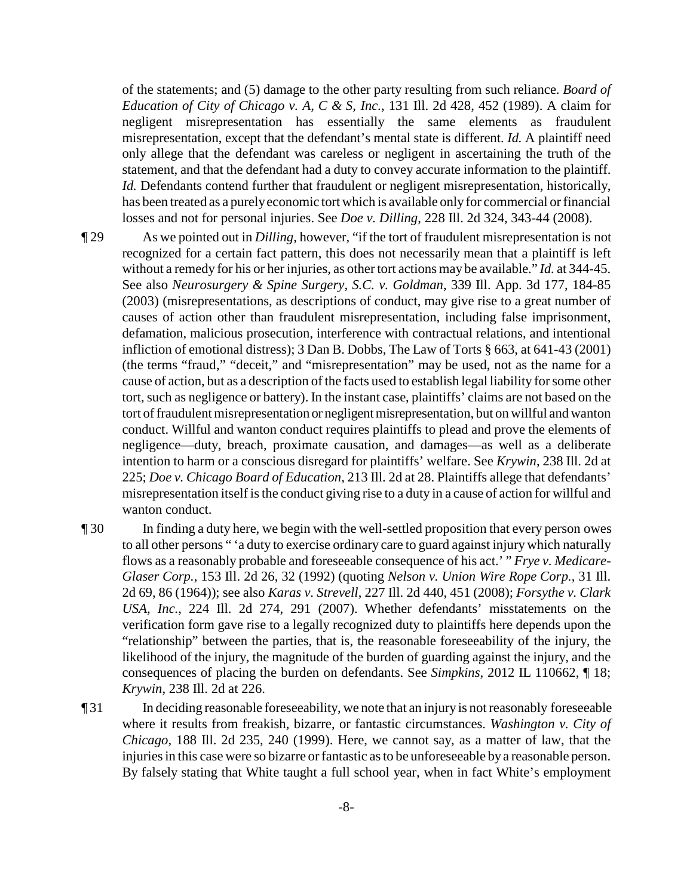of the statements; and (5) damage to the other party resulting from such reliance. *Board of Education of City of Chicago v. A, C & S, Inc.*, 131 Ill. 2d 428, 452 (1989). A claim for negligent misrepresentation has essentially the same elements as fraudulent misrepresentation, except that the defendant's mental state is different. *Id.* A plaintiff need only allege that the defendant was careless or negligent in ascertaining the truth of the statement, and that the defendant had a duty to convey accurate information to the plaintiff. *Id.* Defendants contend further that fraudulent or negligent misrepresentation, historically, has been treated as a purelyeconomic tort which is available only for commercial or financial losses and not for personal injuries. See *Doe v. Dilling*, 228 Ill. 2d 324, 343-44 (2008).

- ¶ 29 As we pointed out in *Dilling*, however, "if the tort of fraudulent misrepresentation is not recognized for a certain fact pattern, this does not necessarily mean that a plaintiff is left without a remedy for his or her injuries, as other tort actions may be available." *Id.* at 344-45. See also *Neurosurgery & Spine Surgery, S.C. v. Goldman*, 339 Ill. App. 3d 177, 184-85 (2003) (misrepresentations, as descriptions of conduct, may give rise to a great number of causes of action other than fraudulent misrepresentation, including false imprisonment, defamation, malicious prosecution, interference with contractual relations, and intentional infliction of emotional distress); 3 Dan B. Dobbs, The Law of Torts § 663, at 641-43 (2001) (the terms "fraud," "deceit," and "misrepresentation" may be used, not as the name for a cause of action, but as a description of the facts used to establish legal liability for some other tort, such as negligence or battery). In the instant case, plaintiffs' claims are not based on the tort of fraudulent misrepresentation or negligent misrepresentation, but on willful and wanton conduct. Willful and wanton conduct requires plaintiffs to plead and prove the elements of negligence—duty, breach, proximate causation, and damages—as well as a deliberate intention to harm or a conscious disregard for plaintiffs' welfare. See *Krywin*, 238 Ill. 2d at 225; *Doe v. Chicago Board of Education*, 213 Ill. 2d at 28. Plaintiffs allege that defendants' misrepresentation itself is the conduct giving rise to a duty in a cause of action for willful and wanton conduct.
- ¶ 30 In finding a duty here, we begin with the well-settled proposition that every person owes to all other persons " 'a duty to exercise ordinary care to guard against injury which naturally flows as a reasonably probable and foreseeable consequence of his act.' " *Frye v. Medicare-Glaser Corp.*, 153 Ill. 2d 26, 32 (1992) (quoting *Nelson v. Union Wire Rope Corp.*, 31 Ill. 2d 69, 86 (1964)); see also *Karas v. Strevell*, 227 Ill. 2d 440, 451 (2008); *Forsythe v. Clark USA, Inc.*, 224 Ill. 2d 274, 291 (2007). Whether defendants' misstatements on the verification form gave rise to a legally recognized duty to plaintiffs here depends upon the "relationship" between the parties, that is, the reasonable foreseeability of the injury, the likelihood of the injury, the magnitude of the burden of guarding against the injury, and the consequences of placing the burden on defendants. See *Simpkins*, 2012 IL 110662, ¶ 18; *Krywin*, 238 Ill. 2d at 226.
- ¶ 31 In deciding reasonable foreseeability, we note that an injury is not reasonably foreseeable where it results from freakish, bizarre, or fantastic circumstances. *Washington v. City of Chicago*, 188 Ill. 2d 235, 240 (1999). Here, we cannot say, as a matter of law, that the injuries in this case were so bizarre or fantastic as to be unforeseeable bya reasonable person. By falsely stating that White taught a full school year, when in fact White's employment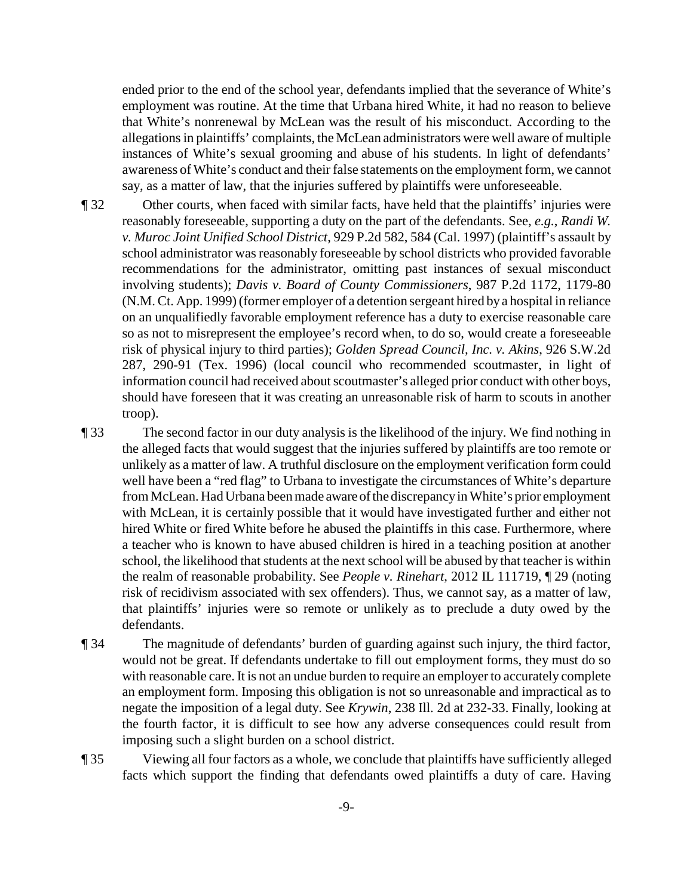ended prior to the end of the school year, defendants implied that the severance of White's employment was routine. At the time that Urbana hired White, it had no reason to believe that White's nonrenewal by McLean was the result of his misconduct. According to the allegations in plaintiffs' complaints, the McLean administrators were well aware of multiple instances of White's sexual grooming and abuse of his students. In light of defendants' awareness of White's conduct and their false statements on the employment form, we cannot say, as a matter of law, that the injuries suffered by plaintiffs were unforeseeable.

¶ 32 Other courts, when faced with similar facts, have held that the plaintiffs' injuries were reasonably foreseeable, supporting a duty on the part of the defendants. See, *e.g.*, *Randi W. v. Muroc Joint Unified School District*, 929 P.2d 582, 584 (Cal. 1997) (plaintiff's assault by school administrator was reasonably foreseeable by school districts who provided favorable recommendations for the administrator, omitting past instances of sexual misconduct involving students); *Davis v. Board of County Commissioners*, 987 P.2d 1172, 1179-80 (N.M. Ct. App. 1999) (former employer of a detention sergeant hired bya hospital in reliance on an unqualifiedly favorable employment reference has a duty to exercise reasonable care so as not to misrepresent the employee's record when, to do so, would create a foreseeable risk of physical injury to third parties); *Golden Spread Council, Inc. v. Akins*, 926 S.W.2d 287, 290-91 (Tex. 1996) (local council who recommended scoutmaster, in light of information council had received about scoutmaster's alleged prior conduct with other boys, should have foreseen that it was creating an unreasonable risk of harm to scouts in another troop).

¶ 33 The second factor in our duty analysis is the likelihood of the injury. We find nothing in the alleged facts that would suggest that the injuries suffered by plaintiffs are too remote or unlikely as a matter of law. A truthful disclosure on the employment verification form could well have been a "red flag" to Urbana to investigate the circumstances of White's departure from McLean. Had Urbana been made aware of the discrepancy in White's prior employment with McLean, it is certainly possible that it would have investigated further and either not hired White or fired White before he abused the plaintiffs in this case. Furthermore, where a teacher who is known to have abused children is hired in a teaching position at another school, the likelihood that students at the next school will be abused by that teacher is within the realm of reasonable probability. See *People v. Rinehart*, 2012 IL 111719, ¶ 29 (noting risk of recidivism associated with sex offenders). Thus, we cannot say, as a matter of law, that plaintiffs' injuries were so remote or unlikely as to preclude a duty owed by the defendants.

- ¶ 34 The magnitude of defendants' burden of guarding against such injury, the third factor, would not be great. If defendants undertake to fill out employment forms, they must do so with reasonable care. It is not an undue burden to require an employer to accurately complete an employment form. Imposing this obligation is not so unreasonable and impractical as to negate the imposition of a legal duty. See *Krywin*, 238 Ill. 2d at 232-33. Finally, looking at the fourth factor, it is difficult to see how any adverse consequences could result from imposing such a slight burden on a school district.
- ¶ 35 Viewing all four factors as a whole, we conclude that plaintiffs have sufficiently alleged facts which support the finding that defendants owed plaintiffs a duty of care. Having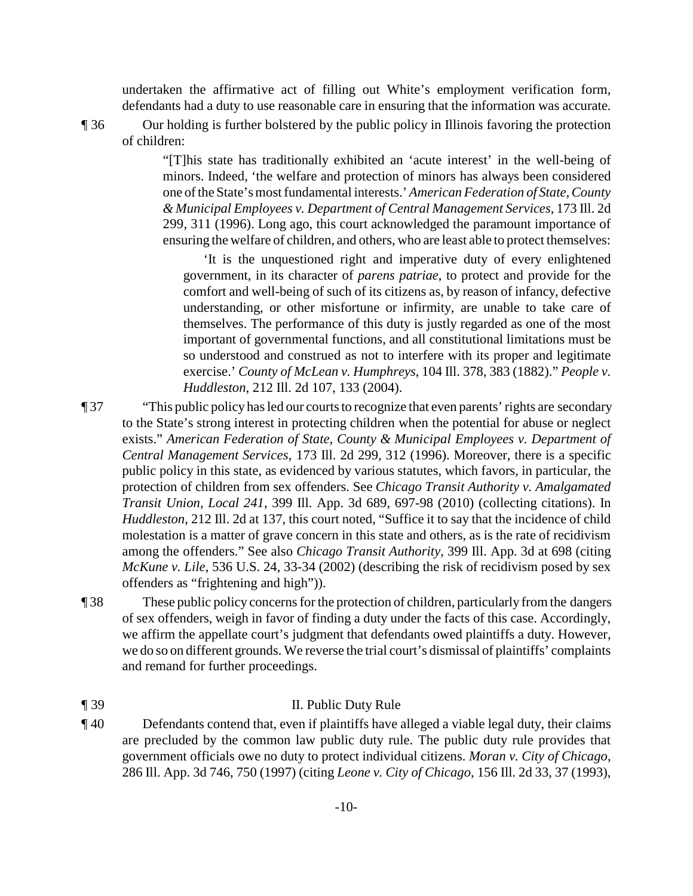undertaken the affirmative act of filling out White's employment verification form, defendants had a duty to use reasonable care in ensuring that the information was accurate.

¶ 36 Our holding is further bolstered by the public policy in Illinois favoring the protection of children:

> "[T]his state has traditionally exhibited an 'acute interest' in the well-being of minors. Indeed, 'the welfare and protection of minors has always been considered one of the State's most fundamental interests.' *American Federation of State, County & Municipal Employees v. Department of Central Management Services*, 173 Ill. 2d 299, 311 (1996). Long ago, this court acknowledged the paramount importance of ensuring the welfare of children, and others, who are least able to protect themselves:

'It is the unquestioned right and imperative duty of every enlightened government, in its character of *parens patriae*, to protect and provide for the comfort and well-being of such of its citizens as, by reason of infancy, defective understanding, or other misfortune or infirmity, are unable to take care of themselves. The performance of this duty is justly regarded as one of the most important of governmental functions, and all constitutional limitations must be so understood and construed as not to interfere with its proper and legitimate exercise.' *County of McLean v. Humphreys*, 104 Ill. 378, 383 (1882)." *People v. Huddleston*, 212 Ill. 2d 107, 133 (2004).

- ¶ 37 "This public policy has led our courts to recognize that even parents' rights are secondary to the State's strong interest in protecting children when the potential for abuse or neglect exists." *American Federation of State, County & Municipal Employees v. Department of Central Management Services*, 173 Ill. 2d 299, 312 (1996). Moreover, there is a specific public policy in this state, as evidenced by various statutes, which favors, in particular, the protection of children from sex offenders. See *Chicago Transit Authority v. Amalgamated Transit Union, Local 241*, 399 Ill. App. 3d 689, 697-98 (2010) (collecting citations). In *Huddleston*, 212 Ill. 2d at 137, this court noted, "Suffice it to say that the incidence of child molestation is a matter of grave concern in this state and others, as is the rate of recidivism among the offenders." See also *Chicago Transit Authority*, 399 Ill. App. 3d at 698 (citing *McKune v. Lile*, 536 U.S. 24, 33-34 (2002) (describing the risk of recidivism posed by sex offenders as "frightening and high")).
- ¶ 38 These public policy concerns for the protection of children, particularly from the dangers of sex offenders, weigh in favor of finding a duty under the facts of this case. Accordingly, we affirm the appellate court's judgment that defendants owed plaintiffs a duty. However, we do so on different grounds. We reverse the trial court's dismissal of plaintiffs' complaints and remand for further proceedings.
- ¶ 39 II. Public Duty Rule
- ¶ 40 Defendants contend that, even if plaintiffs have alleged a viable legal duty, their claims are precluded by the common law public duty rule. The public duty rule provides that government officials owe no duty to protect individual citizens. *Moran v. City of Chicago*, 286 Ill. App. 3d 746, 750 (1997) (citing *Leone v. City of Chicago*, 156 Ill. 2d 33, 37 (1993),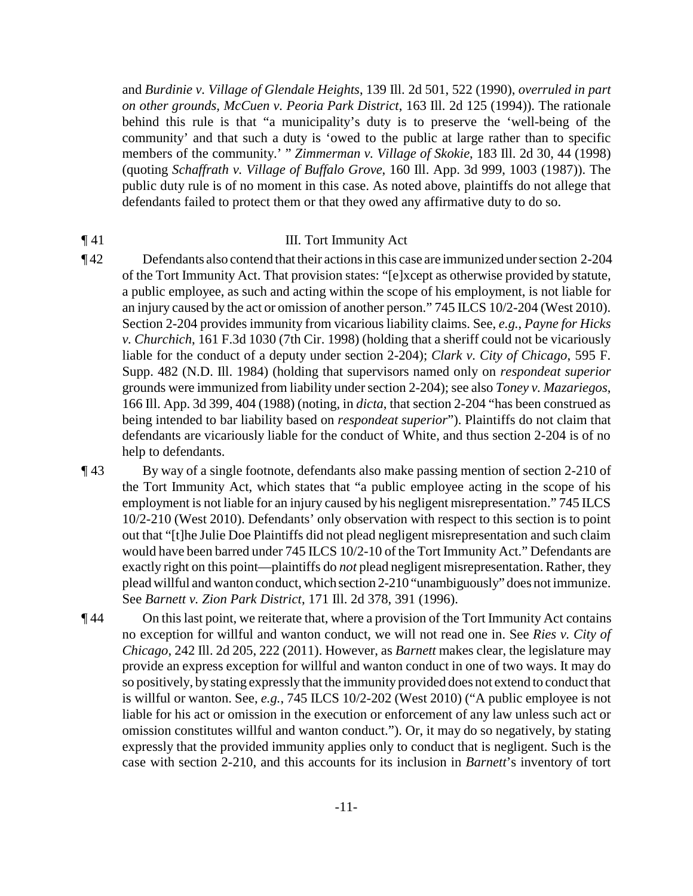and *Burdinie v. Village of Glendale Heights*, 139 Ill. 2d 501, 522 (1990), *overruled in part on other grounds, McCuen v. Peoria Park District*, 163 Ill. 2d 125 (1994)). The rationale behind this rule is that "a municipality's duty is to preserve the 'well-being of the community' and that such a duty is 'owed to the public at large rather than to specific members of the community.' " *Zimmerman v. Village of Skokie*, 183 Ill. 2d 30, 44 (1998) (quoting *Schaffrath v. Village of Buffalo Grove*, 160 Ill. App. 3d 999, 1003 (1987)). The public duty rule is of no moment in this case. As noted above, plaintiffs do not allege that defendants failed to protect them or that they owed any affirmative duty to do so.

#### **The U.S. III. Tort Immunity Act**

¶ 42 Defendants also contend that their actions in this case are immunized under section 2-204 of the Tort Immunity Act. That provision states: "[e]xcept as otherwise provided by statute, a public employee, as such and acting within the scope of his employment, is not liable for an injury caused by the act or omission of another person." 745 ILCS 10/2-204 (West 2010). Section 2-204 provides immunity from vicarious liability claims. See, *e.g.*, *Payne for Hicks v. Churchich*, 161 F.3d 1030 (7th Cir. 1998) (holding that a sheriff could not be vicariously liable for the conduct of a deputy under section 2-204); *Clark v. City of Chicago*, 595 F. Supp. 482 (N.D. Ill. 1984) (holding that supervisors named only on *respondeat superior* grounds were immunized from liability under section 2-204); see also *Toney v. Mazariegos*, 166 Ill. App. 3d 399, 404 (1988) (noting, in *dicta*, that section 2-204 "has been construed as being intended to bar liability based on *respondeat superior*"). Plaintiffs do not claim that defendants are vicariously liable for the conduct of White, and thus section 2-204 is of no help to defendants.

¶ 43 By way of a single footnote, defendants also make passing mention of section 2-210 of the Tort Immunity Act, which states that "a public employee acting in the scope of his employment is not liable for an injury caused by his negligent misrepresentation." 745 ILCS 10/2-210 (West 2010). Defendants' only observation with respect to this section is to point out that "[t]he Julie Doe Plaintiffs did not plead negligent misrepresentation and such claim would have been barred under 745 ILCS 10/2-10 of the Tort Immunity Act." Defendants are exactly right on this point—plaintiffs do *not* plead negligent misrepresentation. Rather, they plead willful and wanton conduct, which section 2-210 "unambiguously" does not immunize. See *Barnett v. Zion Park District*, 171 Ill. 2d 378, 391 (1996).

¶ 44 On this last point, we reiterate that, where a provision of the Tort Immunity Act contains no exception for willful and wanton conduct, we will not read one in. See *Ries v. City of Chicago*, 242 Ill. 2d 205, 222 (2011). However, as *Barnett* makes clear, the legislature may provide an express exception for willful and wanton conduct in one of two ways. It may do so positively, by stating expressly that the immunity provided does not extend to conduct that is willful or wanton. See, *e.g.*, 745 ILCS 10/2-202 (West 2010) ("A public employee is not liable for his act or omission in the execution or enforcement of any law unless such act or omission constitutes willful and wanton conduct."). Or, it may do so negatively, by stating expressly that the provided immunity applies only to conduct that is negligent. Such is the case with section 2-210, and this accounts for its inclusion in *Barnett*'s inventory of tort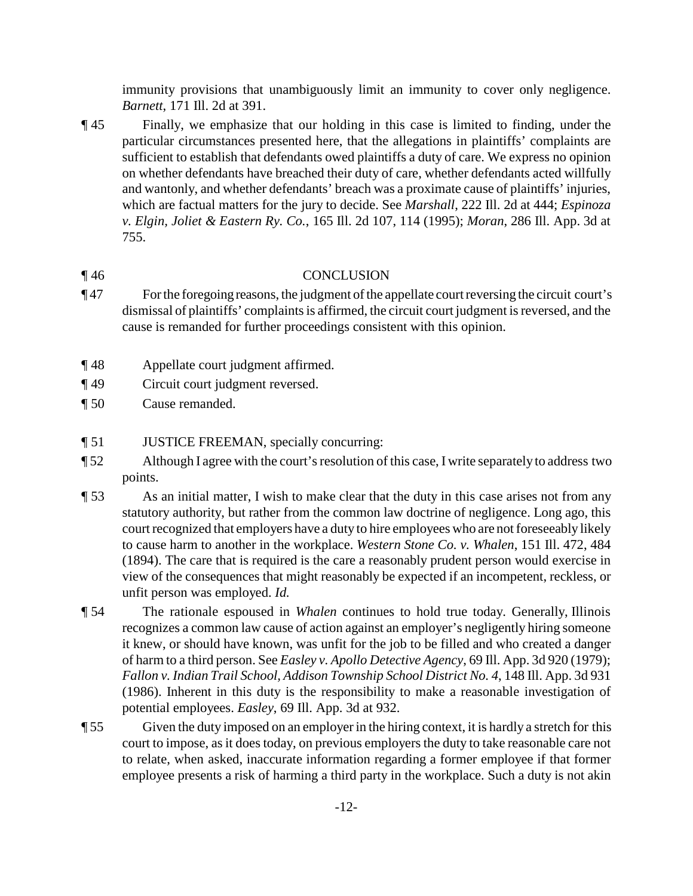immunity provisions that unambiguously limit an immunity to cover only negligence. *Barnett*, 171 Ill. 2d at 391.

¶ 45 Finally, we emphasize that our holding in this case is limited to finding, under the particular circumstances presented here, that the allegations in plaintiffs' complaints are sufficient to establish that defendants owed plaintiffs a duty of care. We express no opinion on whether defendants have breached their duty of care, whether defendants acted willfully and wantonly, and whether defendants' breach was a proximate cause of plaintiffs' injuries, which are factual matters for the jury to decide. See *Marshall*, 222 Ill. 2d at 444; *Espinoza v. Elgin, Joliet & Eastern Ry. Co.*, 165 Ill. 2d 107, 114 (1995); *Moran*, 286 Ill. App. 3d at 755.

#### ¶ 46 CONCLUSION

- ¶ 47 Forthe foregoing reasons, the judgment of the appellate court reversing the circuit court's dismissal of plaintiffs' complaints is affirmed, the circuit court judgment is reversed, and the cause is remanded for further proceedings consistent with this opinion.
- ¶ 48 Appellate court judgment affirmed.
- ¶ 49 Circuit court judgment reversed.
- ¶ 50 Cause remanded.
- ¶ 51 JUSTICE FREEMAN, specially concurring:
- ¶ 52 Although I agree with the court's resolution of this case, I write separately to address two points.
- ¶ 53 As an initial matter, I wish to make clear that the duty in this case arises not from any statutory authority, but rather from the common law doctrine of negligence. Long ago, this court recognized that employers have a duty to hire employees who are not foreseeably likely to cause harm to another in the workplace. *Western Stone Co. v. Whalen*, 151 Ill. 472, 484 (1894). The care that is required is the care a reasonably prudent person would exercise in view of the consequences that might reasonably be expected if an incompetent, reckless, or unfit person was employed. *Id.*
- ¶ 54 The rationale espoused in *Whalen* continues to hold true today. Generally, Illinois recognizes a common law cause of action against an employer's negligently hiring someone it knew, or should have known, was unfit for the job to be filled and who created a danger of harm to a third person. See *Easley v. Apollo Detective Agency*, 69 Ill. App. 3d 920 (1979); *Fallon v. Indian Trail School, Addison Township School District No. 4*, 148 Ill. App. 3d 931 (1986). Inherent in this duty is the responsibility to make a reasonable investigation of potential employees. *Easley*, 69 Ill. App. 3d at 932.
- ¶ 55 Given the duty imposed on an employer in the hiring context, it is hardly a stretch for this court to impose, as it does today, on previous employers the duty to take reasonable care not to relate, when asked, inaccurate information regarding a former employee if that former employee presents a risk of harming a third party in the workplace. Such a duty is not akin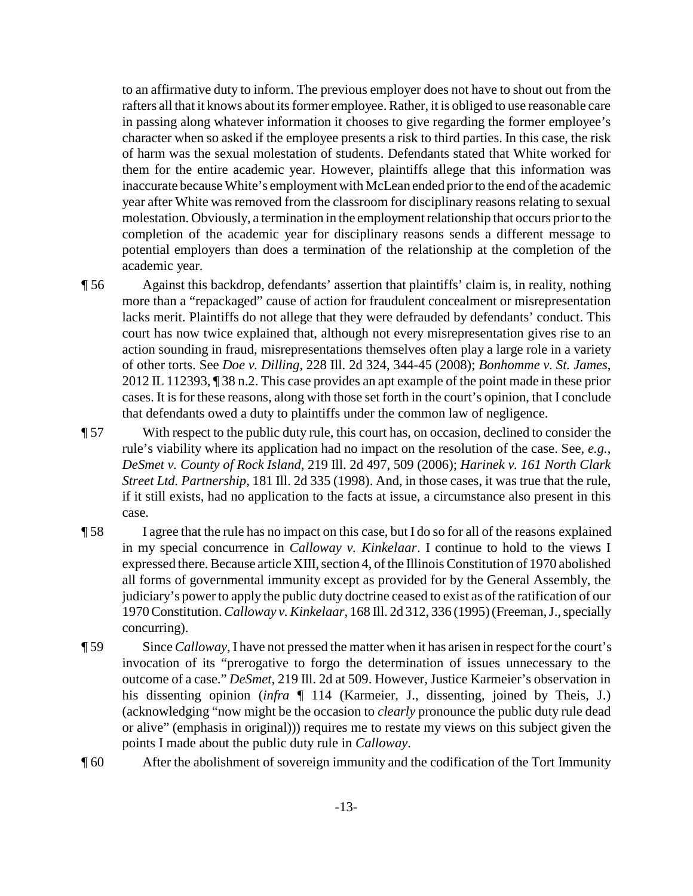to an affirmative duty to inform. The previous employer does not have to shout out from the rafters all that it knows about its former employee. Rather, it is obliged to use reasonable care in passing along whatever information it chooses to give regarding the former employee's character when so asked if the employee presents a risk to third parties. In this case, the risk of harm was the sexual molestation of students. Defendants stated that White worked for them for the entire academic year. However, plaintiffs allege that this information was inaccurate because White's employment with McLean ended prior to the end of the academic year after White was removed from the classroom for disciplinary reasons relating to sexual molestation. Obviously, a termination in the employment relationship that occurs prior to the completion of the academic year for disciplinary reasons sends a different message to potential employers than does a termination of the relationship at the completion of the academic year.

¶ 56 Against this backdrop, defendants' assertion that plaintiffs' claim is, in reality, nothing more than a "repackaged" cause of action for fraudulent concealment or misrepresentation lacks merit. Plaintiffs do not allege that they were defrauded by defendants' conduct. This court has now twice explained that, although not every misrepresentation gives rise to an action sounding in fraud, misrepresentations themselves often play a large role in a variety of other torts. See *Doe v. Dilling*, 228 Ill. 2d 324, 344-45 (2008); *Bonhomme v. St. James*, 2012 IL 112393, ¶ 38 n.2. This case provides an apt example of the point made in these prior cases. It is for these reasons, along with those set forth in the court's opinion, that I conclude that defendants owed a duty to plaintiffs under the common law of negligence.

¶ 57 With respect to the public duty rule, this court has, on occasion, declined to consider the rule's viability where its application had no impact on the resolution of the case. See, *e.g.*, *DeSmet v. County of Rock Island*, 219 Ill. 2d 497, 509 (2006); *Harinek v. 161 North Clark Street Ltd. Partnership*, 181 Ill. 2d 335 (1998). And, in those cases, it was true that the rule, if it still exists, had no application to the facts at issue, a circumstance also present in this case.

- ¶ 58 I agree that the rule has no impact on this case, but I do so for all of the reasons explained in my special concurrence in *Calloway v. Kinkelaar*. I continue to hold to the views I expressed there. Because articleXIII, section 4, of the Illinois Constitution of 1970 abolished all forms of governmental immunity except as provided for by the General Assembly, the judiciary's powerto apply the public duty doctrine ceased to exist as of the ratification of our 1970 Constitution. *Calloway v. Kinkelaar*, 168 Ill. 2d 312, 336 (1995) (Freeman, J., specially concurring).
- ¶ 59 Since *Calloway*, I have not pressed the matter when it has arisen in respect for the court's invocation of its "prerogative to forgo the determination of issues unnecessary to the outcome of a case." *DeSmet*, 219 Ill. 2d at 509. However, Justice Karmeier's observation in his dissenting opinion (*infra* ¶ 114 (Karmeier, J., dissenting, joined by Theis, J.) (acknowledging "now might be the occasion to *clearly* pronounce the public duty rule dead or alive" (emphasis in original))) requires me to restate my views on this subject given the points I made about the public duty rule in *Calloway*.
- ¶ 60 After the abolishment of sovereign immunity and the codification of the Tort Immunity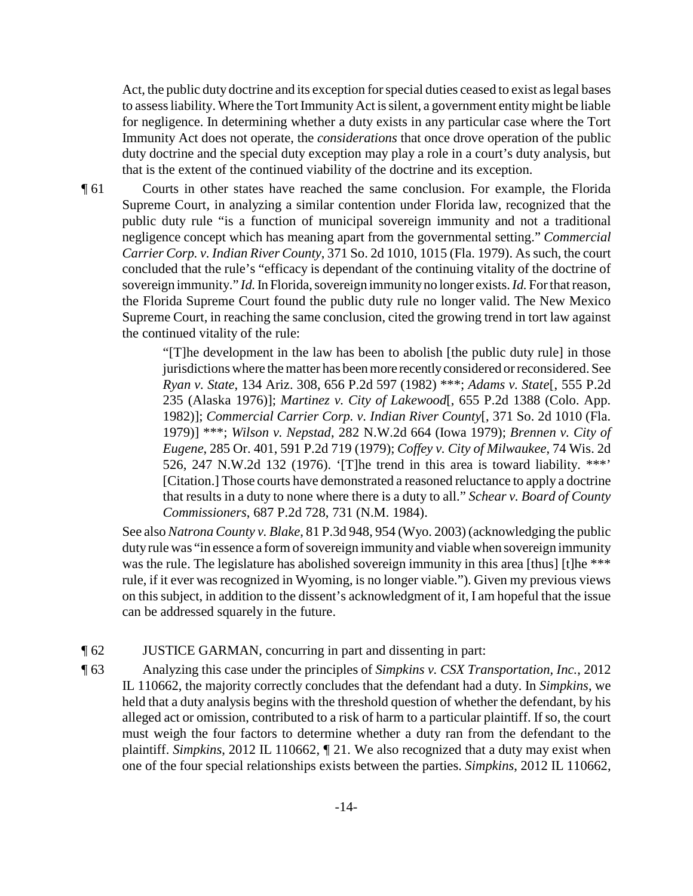Act, the public duty doctrine and its exception for special duties ceased to exist as legal bases to assess liability. Where the Tort Immunity Act is silent, a government entity might be liable for negligence. In determining whether a duty exists in any particular case where the Tort Immunity Act does not operate, the *considerations* that once drove operation of the public duty doctrine and the special duty exception may play a role in a court's duty analysis, but that is the extent of the continued viability of the doctrine and its exception.

¶ 61 Courts in other states have reached the same conclusion. For example, the Florida Supreme Court, in analyzing a similar contention under Florida law, recognized that the public duty rule "is a function of municipal sovereign immunity and not a traditional negligence concept which has meaning apart from the governmental setting." *Commercial Carrier Corp. v. Indian River County*, 371 So. 2d 1010, 1015 (Fla. 1979). As such, the court concluded that the rule's "efficacy is dependant of the continuing vitality of the doctrine of sovereign immunity." *Id.*In Florida, sovereign immunityno longer exists. *Id.* Forthat reason, the Florida Supreme Court found the public duty rule no longer valid. The New Mexico Supreme Court, in reaching the same conclusion, cited the growing trend in tort law against the continued vitality of the rule:

> "[T]he development in the law has been to abolish [the public duty rule] in those jurisdictions where the matter has been more recently considered or reconsidered. See *Ryan v. State*, 134 Ariz. 308, 656 P.2d 597 (1982) \*\*\*; *Adams v. State*[, 555 P.2d 235 (Alaska 1976)]; *Martinez v. City of Lakewood*[, 655 P.2d 1388 (Colo. App. 1982)]; *Commercial Carrier Corp. v. Indian River County*[, 371 So. 2d 1010 (Fla. 1979)] \*\*\*; *Wilson v. Nepstad*, 282 N.W.2d 664 (Iowa 1979); *Brennen v. City of Eugene*, 285 Or. 401, 591 P.2d 719 (1979); *Coffey v. City of Milwaukee*, 74 Wis. 2d 526, 247 N.W.2d 132 (1976). '[T]he trend in this area is toward liability. \*\*\*' [Citation.] Those courts have demonstrated a reasoned reluctance to apply a doctrine that results in a duty to none where there is a duty to all." *Schear v. Board of County Commissioners*, 687 P.2d 728, 731 (N.M. 1984).

See also *Natrona County v. Blake*, 81 P.3d 948, 954 (Wyo. 2003) (acknowledging the public duty rule was "in essence a form of sovereign immunity and viable when sovereign immunity was the rule. The legislature has abolished sovereign immunity in this area [thus] [t]he \*\*\* rule, if it ever was recognized in Wyoming, is no longer viable."). Given my previous views on this subject, in addition to the dissent's acknowledgment of it, I am hopeful that the issue can be addressed squarely in the future.

- ¶ 62 JUSTICE GARMAN, concurring in part and dissenting in part:
- ¶ 63 Analyzing this case under the principles of *Simpkins v. CSX Transportation, Inc.*, 2012 IL 110662, the majority correctly concludes that the defendant had a duty. In *Simpkins*, we held that a duty analysis begins with the threshold question of whether the defendant, by his alleged act or omission, contributed to a risk of harm to a particular plaintiff. If so, the court must weigh the four factors to determine whether a duty ran from the defendant to the plaintiff. *Simpkins*, 2012 IL 110662, ¶ 21. We also recognized that a duty may exist when one of the four special relationships exists between the parties. *Simpkins*, 2012 IL 110662,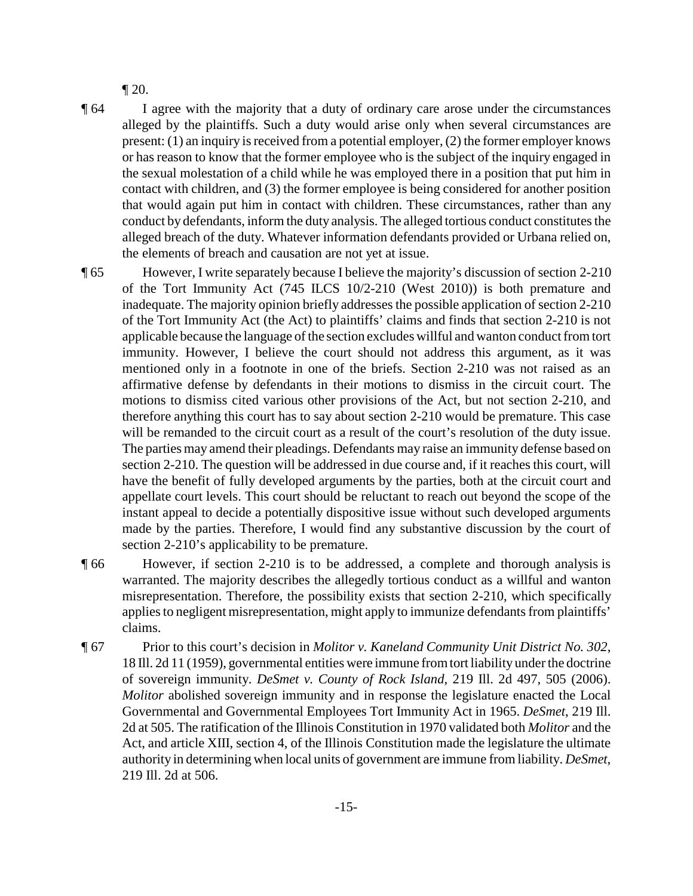¶ 20.

¶ 64 I agree with the majority that a duty of ordinary care arose under the circumstances alleged by the plaintiffs. Such a duty would arise only when several circumstances are present: (1) an inquiry is received from a potential employer, (2) the former employer knows or has reason to know that the former employee who is the subject of the inquiry engaged in the sexual molestation of a child while he was employed there in a position that put him in contact with children, and (3) the former employee is being considered for another position that would again put him in contact with children. These circumstances, rather than any conduct by defendants, inform the duty analysis. The alleged tortious conduct constitutes the alleged breach of the duty. Whatever information defendants provided or Urbana relied on, the elements of breach and causation are not yet at issue.

¶ 65 However, I write separately because I believe the majority's discussion of section 2-210 of the Tort Immunity Act (745 ILCS 10/2-210 (West 2010)) is both premature and inadequate. The majority opinion briefly addresses the possible application of section 2-210 of the Tort Immunity Act (the Act) to plaintiffs' claims and finds that section 2-210 is not applicable because the language of the section excludes willful and wanton conduct from tort immunity. However, I believe the court should not address this argument, as it was mentioned only in a footnote in one of the briefs. Section 2-210 was not raised as an affirmative defense by defendants in their motions to dismiss in the circuit court. The motions to dismiss cited various other provisions of the Act, but not section 2-210, and therefore anything this court has to say about section 2-210 would be premature. This case will be remanded to the circuit court as a result of the court's resolution of the duty issue. The parties may amend their pleadings. Defendants may raise an immunity defense based on section 2-210. The question will be addressed in due course and, if it reaches this court, will have the benefit of fully developed arguments by the parties, both at the circuit court and appellate court levels. This court should be reluctant to reach out beyond the scope of the instant appeal to decide a potentially dispositive issue without such developed arguments made by the parties. Therefore, I would find any substantive discussion by the court of section 2-210's applicability to be premature.

- ¶ 66 However, if section 2-210 is to be addressed, a complete and thorough analysis is warranted. The majority describes the allegedly tortious conduct as a willful and wanton misrepresentation. Therefore, the possibility exists that section 2-210, which specifically applies to negligent misrepresentation, might apply to immunize defendants from plaintiffs' claims.
- ¶ 67 Prior to this court's decision in *Molitor v. Kaneland Community Unit District No. 302*, 18 Ill. 2d 11 (1959), governmental entities were immune from tort liability under the doctrine of sovereign immunity. *DeSmet v. County of Rock Island*, 219 Ill. 2d 497, 505 (2006). *Molitor* abolished sovereign immunity and in response the legislature enacted the Local Governmental and Governmental Employees Tort Immunity Act in 1965. *DeSmet*, 219 Ill. 2d at 505. The ratification of the Illinois Constitution in 1970 validated both *Molitor* and the Act, and article XIII, section 4, of the Illinois Constitution made the legislature the ultimate authority in determining when local units of government are immune from liability. *DeSmet*, 219 Ill. 2d at 506.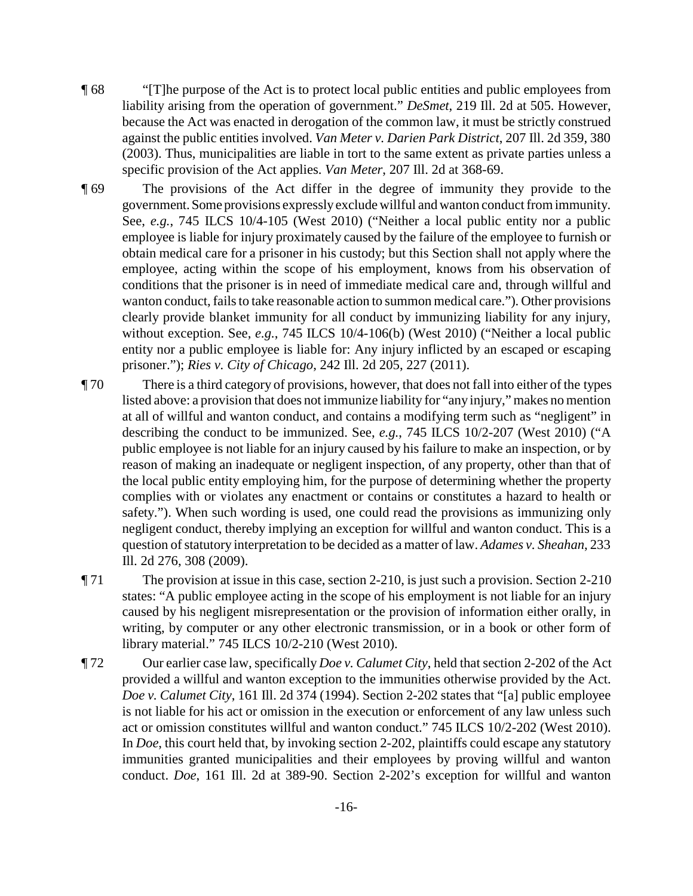- ¶ 68 "[T]he purpose of the Act is to protect local public entities and public employees from liability arising from the operation of government." *DeSmet*, 219 Ill. 2d at 505. However, because the Act was enacted in derogation of the common law, it must be strictly construed against the public entities involved. *Van Meter v. Darien Park District*, 207 Ill. 2d 359, 380 (2003). Thus, municipalities are liable in tort to the same extent as private parties unless a specific provision of the Act applies. *Van Meter*, 207 Ill. 2d at 368-69.
- ¶ 69 The provisions of the Act differ in the degree of immunity they provide to the government.Some provisions expresslyexclude willful and wanton conduct from immunity. See, *e.g.*, 745 ILCS 10/4-105 (West 2010) ("Neither a local public entity nor a public employee is liable for injury proximately caused by the failure of the employee to furnish or obtain medical care for a prisoner in his custody; but this Section shall not apply where the employee, acting within the scope of his employment, knows from his observation of conditions that the prisoner is in need of immediate medical care and, through willful and wanton conduct, fails to take reasonable action to summon medical care."). Other provisions clearly provide blanket immunity for all conduct by immunizing liability for any injury, without exception. See, *e.g.*, 745 ILCS 10/4-106(b) (West 2010) ("Neither a local public entity nor a public employee is liable for: Any injury inflicted by an escaped or escaping prisoner."); *Ries v. City of Chicago*, 242 Ill. 2d 205, 227 (2011).
- ¶ 70 There is a third category of provisions, however, that does not fall into either of the types listed above: a provision that does not immunize liability for "any injury," makes no mention at all of willful and wanton conduct, and contains a modifying term such as "negligent" in describing the conduct to be immunized. See, *e.g.*, 745 ILCS 10/2-207 (West 2010) ("A public employee is not liable for an injury caused by his failure to make an inspection, or by reason of making an inadequate or negligent inspection, of any property, other than that of the local public entity employing him, for the purpose of determining whether the property complies with or violates any enactment or contains or constitutes a hazard to health or safety."). When such wording is used, one could read the provisions as immunizing only negligent conduct, thereby implying an exception for willful and wanton conduct. This is a question of statutory interpretation to be decided as a matter of law. *Adames v. Sheahan*, 233 Ill. 2d 276, 308 (2009).
- ¶ 71 The provision at issue in this case, section 2-210, is just such a provision. Section 2-210 states: "A public employee acting in the scope of his employment is not liable for an injury caused by his negligent misrepresentation or the provision of information either orally, in writing, by computer or any other electronic transmission, or in a book or other form of library material." 745 ILCS 10/2-210 (West 2010).
- ¶ 72 Our earlier case law, specifically *Doe v. Calumet City*, held that section 2-202 of the Act provided a willful and wanton exception to the immunities otherwise provided by the Act. *Doe v. Calumet City*, 161 Ill. 2d 374 (1994). Section 2-202 states that "[a] public employee is not liable for his act or omission in the execution or enforcement of any law unless such act or omission constitutes willful and wanton conduct." 745 ILCS 10/2-202 (West 2010). In *Doe*, this court held that, by invoking section 2-202, plaintiffs could escape any statutory immunities granted municipalities and their employees by proving willful and wanton conduct. *Doe*, 161 Ill. 2d at 389-90. Section 2-202's exception for willful and wanton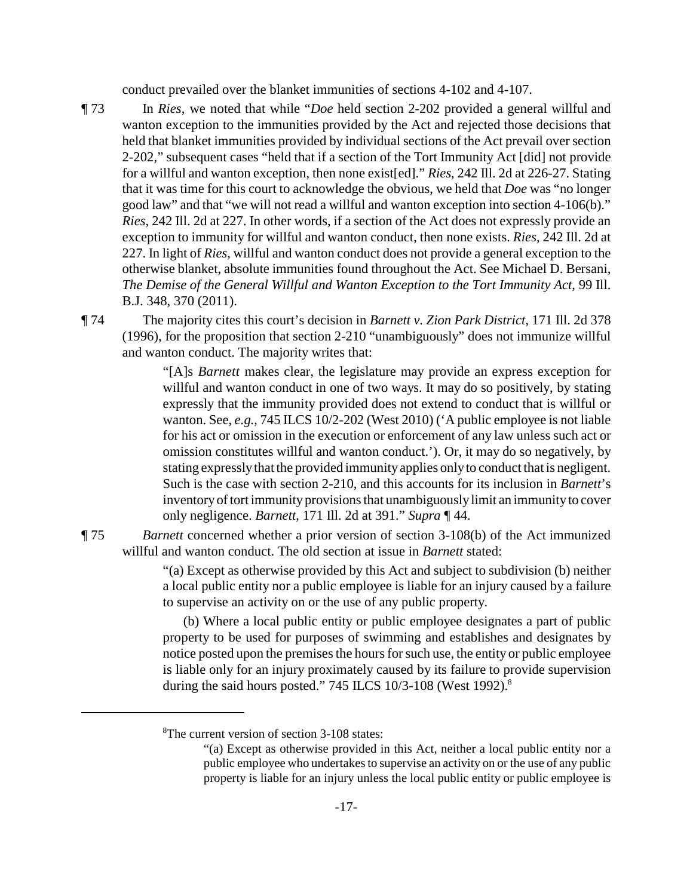conduct prevailed over the blanket immunities of sections 4-102 and 4-107.

¶ 73 In *Ries*, we noted that while "*Doe* held section 2-202 provided a general willful and wanton exception to the immunities provided by the Act and rejected those decisions that held that blanket immunities provided by individual sections of the Act prevail over section 2-202," subsequent cases "held that if a section of the Tort Immunity Act [did] not provide for a willful and wanton exception, then none exist[ed]." *Ries*, 242 Ill. 2d at 226-27. Stating that it was time for this court to acknowledge the obvious, we held that *Doe* was "no longer good law" and that "we will not read a willful and wanton exception into section 4-106(b)." *Ries*, 242 Ill. 2d at 227. In other words, if a section of the Act does not expressly provide an exception to immunity for willful and wanton conduct, then none exists. *Ries*, 242 Ill. 2d at 227. In light of *Ries*, willful and wanton conduct does not provide a general exception to the otherwise blanket, absolute immunities found throughout the Act. See Michael D. Bersani, *The Demise of the General Willful and Wanton Exception to the Tort Immunity Act*, 99 Ill. B.J. 348, 370 (2011).

¶ 74 The majority cites this court's decision in *Barnett v. Zion Park District*, 171 Ill. 2d 378 (1996), for the proposition that section 2-210 "unambiguously" does not immunize willful and wanton conduct. The majority writes that:

> "[A]s *Barnett* makes clear, the legislature may provide an express exception for willful and wanton conduct in one of two ways. It may do so positively, by stating expressly that the immunity provided does not extend to conduct that is willful or wanton. See, *e.g.*, 745 ILCS 10/2-202 (West 2010) ('A public employee is not liable for his act or omission in the execution or enforcement of any law unless such act or omission constitutes willful and wanton conduct.'). Or, it may do so negatively, by stating expresslythat the provided immunityapplies onlyto conduct that is negligent. Such is the case with section 2-210, and this accounts for its inclusion in *Barnett*'s inventory of tort immunity provisions that unambiguously limit an immunity to cover only negligence. *Barnett*, 171 Ill. 2d at 391." *Supra* ¶ 44.

¶ 75 *Barnett* concerned whether a prior version of section 3-108(b) of the Act immunized willful and wanton conduct. The old section at issue in *Barnett* stated:

> "(a) Except as otherwise provided by this Act and subject to subdivision (b) neither a local public entity nor a public employee is liable for an injury caused by a failure to supervise an activity on or the use of any public property.

> (b) Where a local public entity or public employee designates a part of public property to be used for purposes of swimming and establishes and designates by notice posted upon the premises the hours for such use, the entity or public employee is liable only for an injury proximately caused by its failure to provide supervision during the said hours posted." 745 ILCS  $10/3$ -108 (West 1992).<sup>8</sup>

-17-

<sup>&</sup>lt;sup>8</sup>The current version of section 3-108 states:

<sup>&</sup>quot;(a) Except as otherwise provided in this Act, neither a local public entity nor a public employee who undertakes to supervise an activity on or the use of any public property is liable for an injury unless the local public entity or public employee is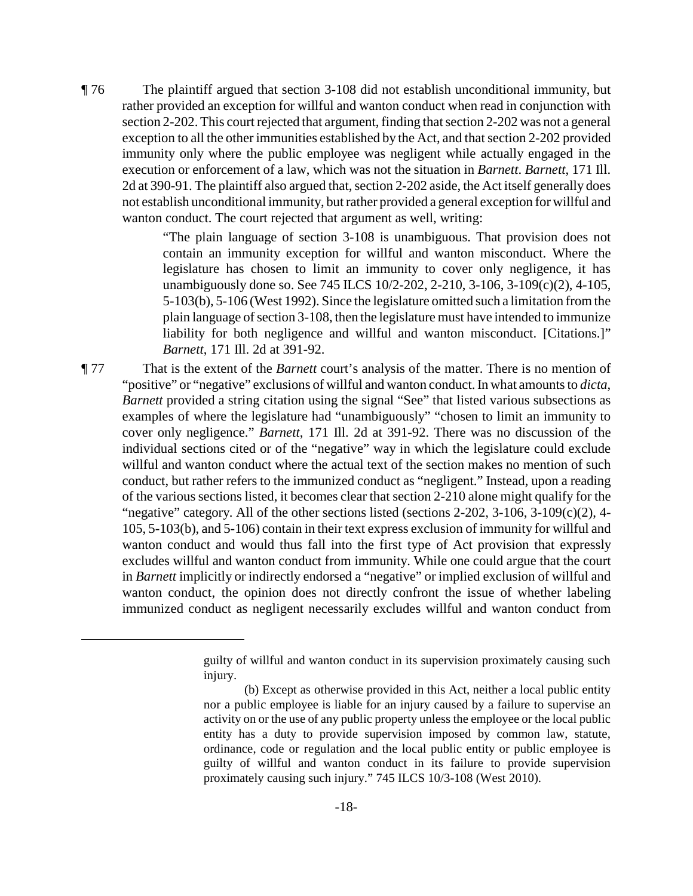¶ 76 The plaintiff argued that section 3-108 did not establish unconditional immunity, but rather provided an exception for willful and wanton conduct when read in conjunction with section 2-202. This court rejected that argument, finding that section 2-202 was not a general exception to all the other immunities established by the Act, and that section 2-202 provided immunity only where the public employee was negligent while actually engaged in the execution or enforcement of a law, which was not the situation in *Barnett*. *Barnett*, 171 Ill. 2d at 390-91. The plaintiff also argued that, section 2-202 aside, the Act itself generally does not establish unconditional immunity, but rather provided a general exception for willful and wanton conduct. The court rejected that argument as well, writing:

> "The plain language of section 3-108 is unambiguous. That provision does not contain an immunity exception for willful and wanton misconduct. Where the legislature has chosen to limit an immunity to cover only negligence, it has unambiguously done so. See 745 ILCS 10/2-202, 2-210, 3-106, 3-109(c)(2), 4-105, 5-103(b), 5-106 (West 1992). Since the legislature omitted such a limitation from the plain language of section 3-108, then the legislature must have intended to immunize liability for both negligence and willful and wanton misconduct. [Citations.]" *Barnett*, 171 Ill. 2d at 391-92.

¶ 77 That is the extent of the *Barnett* court's analysis of the matter. There is no mention of "positive" or "negative" exclusions of willful and wanton conduct. In what amounts to *dicta*, *Barnett* provided a string citation using the signal "See" that listed various subsections as examples of where the legislature had "unambiguously" "chosen to limit an immunity to cover only negligence." *Barnett*, 171 Ill. 2d at 391-92. There was no discussion of the individual sections cited or of the "negative" way in which the legislature could exclude willful and wanton conduct where the actual text of the section makes no mention of such conduct, but rather refers to the immunized conduct as "negligent." Instead, upon a reading of the various sections listed, it becomes clear that section 2-210 alone might qualify for the "negative" category. All of the other sections listed (sections  $2-202$ ,  $3-106$ ,  $3-109(c)(2)$ ,  $4-$ 105, 5-103(b), and 5-106) contain in their text express exclusion of immunity for willful and wanton conduct and would thus fall into the first type of Act provision that expressly excludes willful and wanton conduct from immunity. While one could argue that the court in *Barnett* implicitly or indirectly endorsed a "negative" or implied exclusion of willful and wanton conduct, the opinion does not directly confront the issue of whether labeling immunized conduct as negligent necessarily excludes willful and wanton conduct from

guilty of willful and wanton conduct in its supervision proximately causing such injury.

<sup>(</sup>b) Except as otherwise provided in this Act, neither a local public entity nor a public employee is liable for an injury caused by a failure to supervise an activity on or the use of any public property unless the employee or the local public entity has a duty to provide supervision imposed by common law, statute, ordinance, code or regulation and the local public entity or public employee is guilty of willful and wanton conduct in its failure to provide supervision proximately causing such injury." 745 ILCS 10/3-108 (West 2010).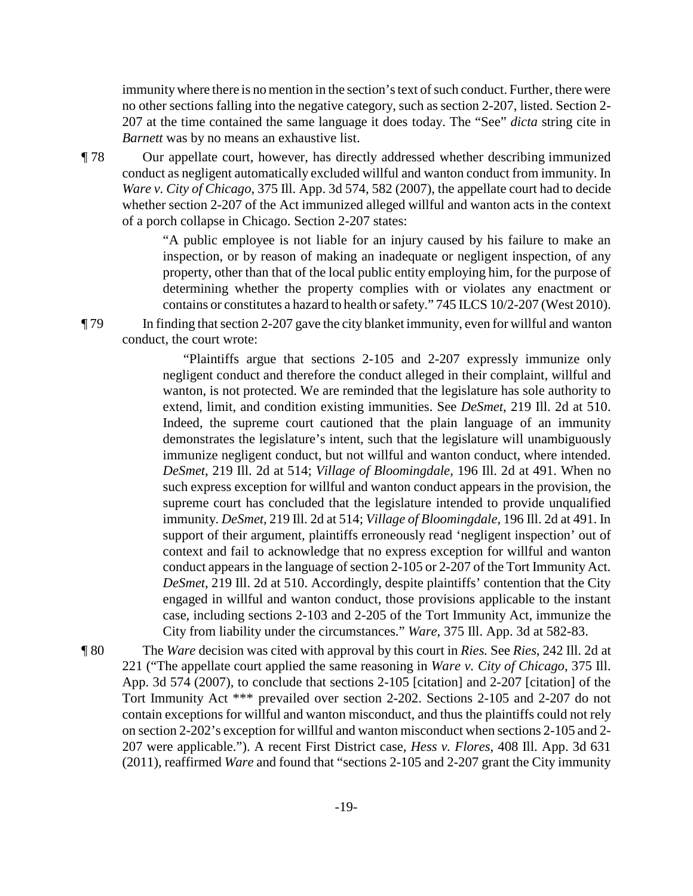immunitywhere there is no mention in the section's text of such conduct. Further, there were no other sections falling into the negative category, such as section 2-207, listed. Section 2- 207 at the time contained the same language it does today. The "See" *dicta* string cite in *Barnett* was by no means an exhaustive list.

¶ 78 Our appellate court, however, has directly addressed whether describing immunized conduct as negligent automatically excluded willful and wanton conduct from immunity. In *Ware v. City of Chicago*, 375 Ill. App. 3d 574, 582 (2007), the appellate court had to decide whether section 2-207 of the Act immunized alleged willful and wanton acts in the context of a porch collapse in Chicago. Section 2-207 states:

> "A public employee is not liable for an injury caused by his failure to make an inspection, or by reason of making an inadequate or negligent inspection, of any property, other than that of the local public entity employing him, for the purpose of determining whether the property complies with or violates any enactment or contains or constitutes a hazard to health or safety." 745 ILCS 10/2-207 (West 2010).

¶ 79 In finding that section 2-207 gave the city blanket immunity, even for willful and wanton conduct, the court wrote:

> "Plaintiffs argue that sections 2-105 and 2-207 expressly immunize only negligent conduct and therefore the conduct alleged in their complaint, willful and wanton, is not protected. We are reminded that the legislature has sole authority to extend, limit, and condition existing immunities. See *DeSmet*, 219 Ill. 2d at 510. Indeed, the supreme court cautioned that the plain language of an immunity demonstrates the legislature's intent, such that the legislature will unambiguously immunize negligent conduct, but not willful and wanton conduct, where intended. *DeSmet*, 219 Ill. 2d at 514; *Village of Bloomingdale*, 196 Ill. 2d at 491. When no such express exception for willful and wanton conduct appears in the provision, the supreme court has concluded that the legislature intended to provide unqualified immunity. *DeSmet*, 219 Ill. 2d at 514; *Village of Bloomingdale*, 196 Ill. 2d at 491. In support of their argument, plaintiffs erroneously read 'negligent inspection' out of context and fail to acknowledge that no express exception for willful and wanton conduct appears in the language of section 2-105 or 2-207 of the Tort Immunity Act. *DeSmet*, 219 Ill. 2d at 510. Accordingly, despite plaintiffs' contention that the City engaged in willful and wanton conduct, those provisions applicable to the instant case, including sections 2-103 and 2-205 of the Tort Immunity Act, immunize the City from liability under the circumstances." *Ware*, 375 Ill. App. 3d at 582-83.

¶ 80 The *Ware* decision was cited with approval by this court in *Ries.* See *Ries*, 242 Ill. 2d at 221 ("The appellate court applied the same reasoning in *Ware v. City of Chicago*, 375 Ill. App. 3d 574 (2007), to conclude that sections 2-105 [citation] and 2-207 [citation] of the Tort Immunity Act \*\*\* prevailed over section 2-202. Sections 2-105 and 2-207 do not contain exceptions for willful and wanton misconduct, and thus the plaintiffs could not rely on section 2-202's exception for willful and wanton misconduct when sections 2-105 and 2- 207 were applicable."). A recent First District case, *Hess v. Flores*, 408 Ill. App. 3d 631 (2011), reaffirmed *Ware* and found that "sections 2-105 and 2-207 grant the City immunity

-19-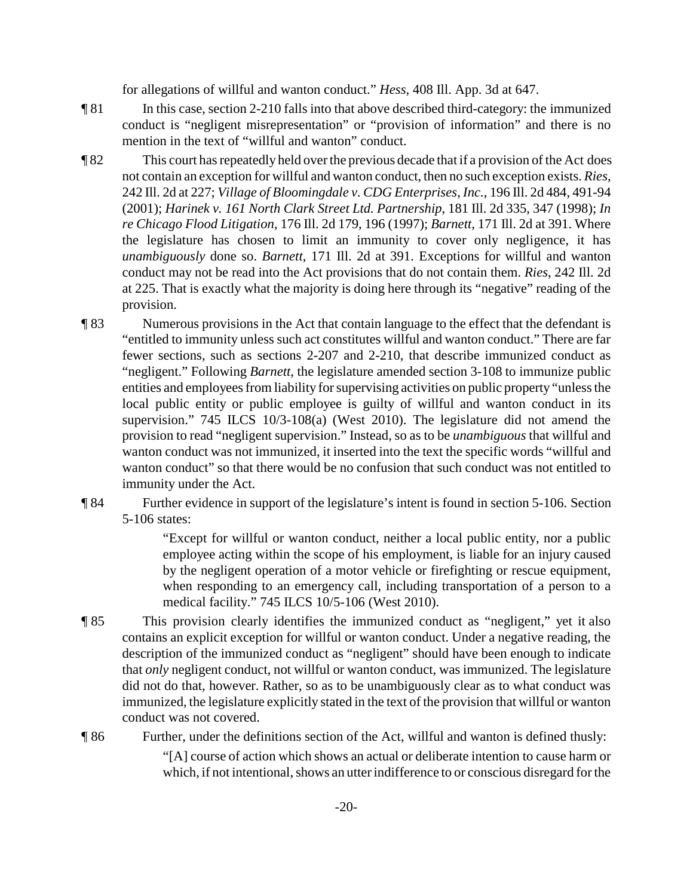for allegations of willful and wanton conduct." *Hess*, 408 Ill. App. 3d at 647.

- ¶ 81 In this case, section 2-210 falls into that above described third-category: the immunized conduct is "negligent misrepresentation" or "provision of information" and there is no mention in the text of "willful and wanton" conduct.
- ¶ 82 This court has repeatedly held over the previous decade that if a provision of the Act does not contain an exception for willful and wanton conduct, then no such exception exists. *Ries*, 242 Ill. 2d at 227; *Village of Bloomingdale v. CDG Enterprises, Inc.*, 196 Ill. 2d 484, 491-94 (2001); *Harinek v. 161 North Clark Street Ltd. Partnership*, 181 Ill. 2d 335, 347 (1998); *In re Chicago Flood Litigation*, 176 Ill. 2d 179, 196 (1997); *Barnett*, 171 Ill. 2d at 391. Where the legislature has chosen to limit an immunity to cover only negligence, it has *unambiguously* done so. *Barnett*, 171 Ill. 2d at 391. Exceptions for willful and wanton conduct may not be read into the Act provisions that do not contain them. *Ries*, 242 Ill. 2d at 225. That is exactly what the majority is doing here through its "negative" reading of the provision.
- ¶ 83 Numerous provisions in the Act that contain language to the effect that the defendant is "entitled to immunity unless such act constitutes willful and wanton conduct." There are far fewer sections, such as sections 2-207 and 2-210, that describe immunized conduct as "negligent." Following *Barnett*, the legislature amended section 3-108 to immunize public entities and employees from liability for supervising activities on public property "unless the local public entity or public employee is guilty of willful and wanton conduct in its supervision." 745 ILCS 10/3-108(a) (West 2010). The legislature did not amend the provision to read "negligent supervision." Instead, so as to be *unambiguous* that willful and wanton conduct was not immunized, it inserted into the text the specific words "willful and wanton conduct" so that there would be no confusion that such conduct was not entitled to immunity under the Act.
- ¶ 84 Further evidence in support of the legislature's intent is found in section 5-106. Section 5-106 states:

"Except for willful or wanton conduct, neither a local public entity, nor a public employee acting within the scope of his employment, is liable for an injury caused by the negligent operation of a motor vehicle or firefighting or rescue equipment, when responding to an emergency call, including transportation of a person to a medical facility." 745 ILCS 10/5-106 (West 2010).

- ¶ 85 This provision clearly identifies the immunized conduct as "negligent," yet it also contains an explicit exception for willful or wanton conduct. Under a negative reading, the description of the immunized conduct as "negligent" should have been enough to indicate that *only* negligent conduct, not willful or wanton conduct, was immunized. The legislature did not do that, however. Rather, so as to be unambiguously clear as to what conduct was immunized, the legislature explicitly stated in the text of the provision that willful or wanton conduct was not covered.
- ¶ 86 Further, under the definitions section of the Act, willful and wanton is defined thusly:

"[A] course of action which shows an actual or deliberate intention to cause harm or which, if not intentional, shows an utter indifference to or conscious disregard for the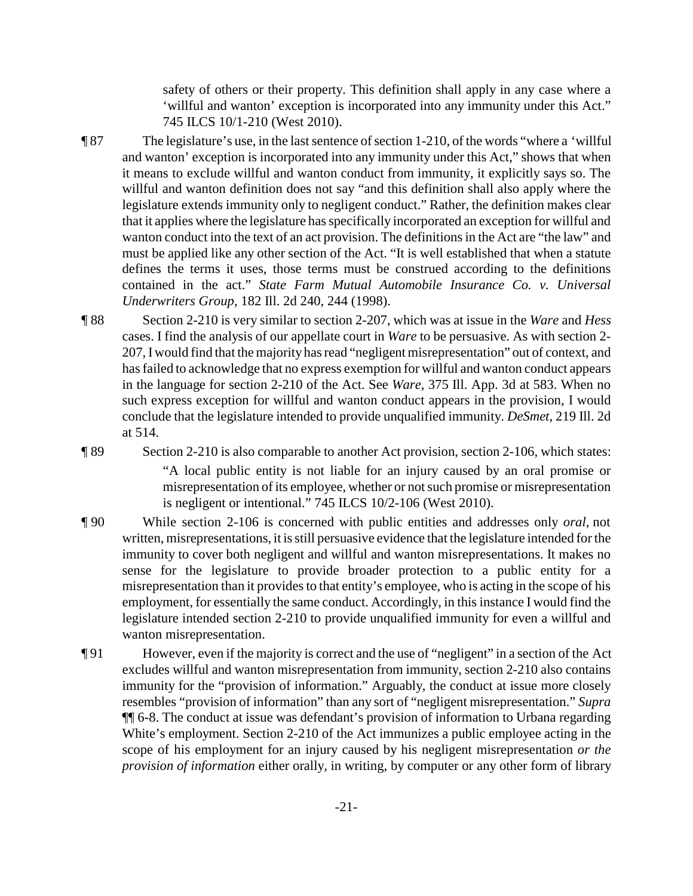safety of others or their property. This definition shall apply in any case where a 'willful and wanton' exception is incorporated into any immunity under this Act." 745 ILCS 10/1-210 (West 2010).

- ¶ 87 The legislature's use, in the last sentence of section 1-210, of the words "where a 'willful and wanton' exception is incorporated into any immunity under this Act," shows that when it means to exclude willful and wanton conduct from immunity, it explicitly says so. The willful and wanton definition does not say "and this definition shall also apply where the legislature extends immunity only to negligent conduct." Rather, the definition makes clear that it applies where the legislature has specifically incorporated an exception for willful and wanton conduct into the text of an act provision. The definitions in the Act are "the law" and must be applied like any other section of the Act. "It is well established that when a statute defines the terms it uses, those terms must be construed according to the definitions contained in the act." *State Farm Mutual Automobile Insurance Co. v. Universal Underwriters Group*, 182 Ill. 2d 240, 244 (1998).
- ¶ 88 Section 2-210 is very similar to section 2-207, which was at issue in the *Ware* and *Hess* cases. I find the analysis of our appellate court in *Ware* to be persuasive. As with section 2- 207, Iwould find that the majority has read "negligent misrepresentation" out of context, and has failed to acknowledge that no express exemption for willful and wanton conduct appears in the language for section 2-210 of the Act. See *Ware*, 375 Ill. App. 3d at 583. When no such express exception for willful and wanton conduct appears in the provision, I would conclude that the legislature intended to provide unqualified immunity. *DeSmet*, 219 Ill. 2d at 514.
- ¶ 89 Section 2-210 is also comparable to another Act provision, section 2-106, which states: "A local public entity is not liable for an injury caused by an oral promise or misrepresentation of its employee, whether or not such promise or misrepresentation is negligent or intentional." 745 ILCS 10/2-106 (West 2010).
- ¶ 90 While section 2-106 is concerned with public entities and addresses only *oral*, not written, misrepresentations, it is still persuasive evidence that the legislature intended for the immunity to cover both negligent and willful and wanton misrepresentations. It makes no sense for the legislature to provide broader protection to a public entity for a misrepresentation than it provides to that entity's employee, who is acting in the scope of his employment, for essentially the same conduct. Accordingly, in this instance I would find the legislature intended section 2-210 to provide unqualified immunity for even a willful and wanton misrepresentation.
- ¶ 91 However, even if the majority is correct and the use of "negligent" in a section of the Act excludes willful and wanton misrepresentation from immunity, section 2-210 also contains immunity for the "provision of information." Arguably, the conduct at issue more closely resembles "provision of information" than any sort of "negligent misrepresentation." *Supra* ¶¶ 6-8. The conduct at issue was defendant's provision of information to Urbana regarding White's employment. Section 2-210 of the Act immunizes a public employee acting in the scope of his employment for an injury caused by his negligent misrepresentation *or the provision of information* either orally, in writing, by computer or any other form of library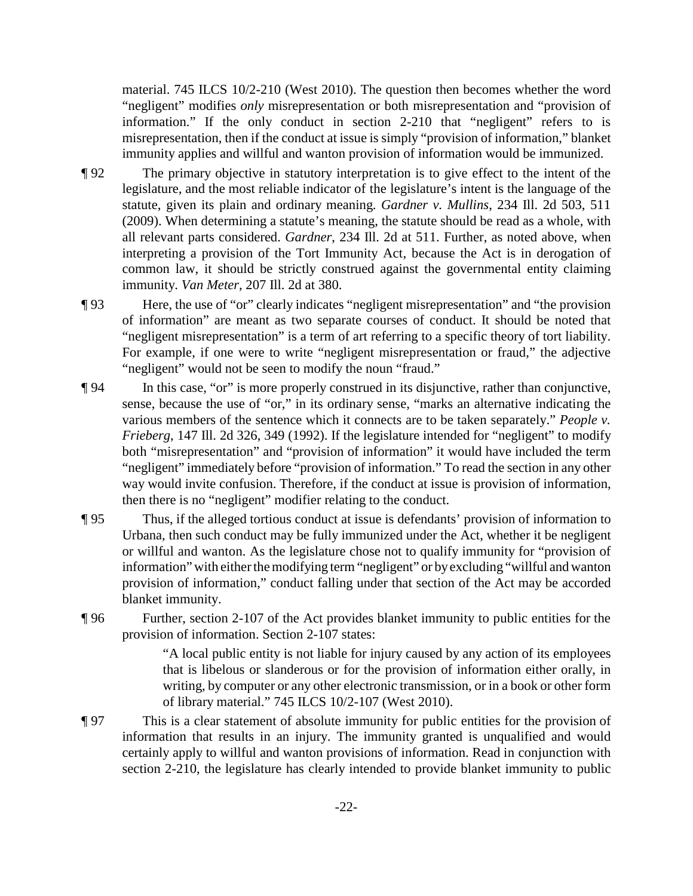material. 745 ILCS 10/2-210 (West 2010). The question then becomes whether the word "negligent" modifies *only* misrepresentation or both misrepresentation and "provision of information." If the only conduct in section 2-210 that "negligent" refers to is misrepresentation, then if the conduct at issue is simply "provision of information," blanket immunity applies and willful and wanton provision of information would be immunized.

- ¶ 92 The primary objective in statutory interpretation is to give effect to the intent of the legislature, and the most reliable indicator of the legislature's intent is the language of the statute, given its plain and ordinary meaning. *Gardner v. Mullins*, 234 Ill. 2d 503, 511 (2009). When determining a statute's meaning, the statute should be read as a whole, with all relevant parts considered. *Gardner*, 234 Ill. 2d at 511. Further, as noted above, when interpreting a provision of the Tort Immunity Act, because the Act is in derogation of common law, it should be strictly construed against the governmental entity claiming immunity. *Van Meter*, 207 Ill. 2d at 380.
- ¶ 93 Here, the use of "or" clearly indicates "negligent misrepresentation" and "the provision of information" are meant as two separate courses of conduct. It should be noted that "negligent misrepresentation" is a term of art referring to a specific theory of tort liability. For example, if one were to write "negligent misrepresentation or fraud," the adjective "negligent" would not be seen to modify the noun "fraud."
- ¶ 94 In this case, "or" is more properly construed in its disjunctive, rather than conjunctive, sense, because the use of "or," in its ordinary sense, "marks an alternative indicating the various members of the sentence which it connects are to be taken separately." *People v. Frieberg*, 147 Ill. 2d 326, 349 (1992). If the legislature intended for "negligent" to modify both "misrepresentation" and "provision of information" it would have included the term "negligent" immediately before "provision of information." To read the section in any other way would invite confusion. Therefore, if the conduct at issue is provision of information, then there is no "negligent" modifier relating to the conduct.
- ¶ 95 Thus, if the alleged tortious conduct at issue is defendants' provision of information to Urbana, then such conduct may be fully immunized under the Act, whether it be negligent or willful and wanton. As the legislature chose not to qualify immunity for "provision of information" with either the modifying term "negligent" or byexcluding "willful and wanton provision of information," conduct falling under that section of the Act may be accorded blanket immunity.
- ¶ 96 Further, section 2-107 of the Act provides blanket immunity to public entities for the provision of information. Section 2-107 states:

"A local public entity is not liable for injury caused by any action of its employees that is libelous or slanderous or for the provision of information either orally, in writing, by computer or any other electronic transmission, or in a book or other form of library material." 745 ILCS 10/2-107 (West 2010).

¶ 97 This is a clear statement of absolute immunity for public entities for the provision of information that results in an injury. The immunity granted is unqualified and would certainly apply to willful and wanton provisions of information. Read in conjunction with section 2-210, the legislature has clearly intended to provide blanket immunity to public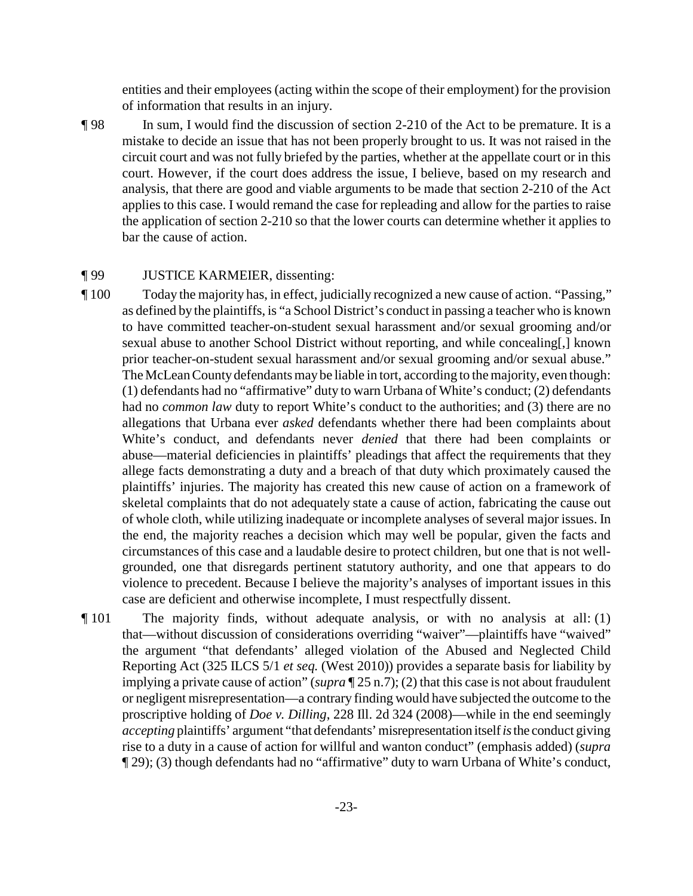entities and their employees (acting within the scope of their employment) for the provision of information that results in an injury.

¶ 98 In sum, I would find the discussion of section 2-210 of the Act to be premature. It is a mistake to decide an issue that has not been properly brought to us. It was not raised in the circuit court and was not fully briefed by the parties, whether at the appellate court or in this court. However, if the court does address the issue, I believe, based on my research and analysis, that there are good and viable arguments to be made that section 2-210 of the Act applies to this case. I would remand the case for repleading and allow for the parties to raise the application of section 2-210 so that the lower courts can determine whether it applies to bar the cause of action.

#### ¶ 99 JUSTICE KARMEIER, dissenting:

- ¶ 100 Today the majority has, in effect, judicially recognized a new cause of action. "Passing," as defined by the plaintiffs, is "a School District's conduct in passing a teacher who is known to have committed teacher-on-student sexual harassment and/or sexual grooming and/or sexual abuse to another School District without reporting, and while concealing[,] known prior teacher-on-student sexual harassment and/or sexual grooming and/or sexual abuse." The McLean Countydefendants may be liable in tort, according to the majority, even though: (1) defendants had no "affirmative" duty to warn Urbana of White's conduct; (2) defendants had no *common law* duty to report White's conduct to the authorities; and (3) there are no allegations that Urbana ever *asked* defendants whether there had been complaints about White's conduct, and defendants never *denied* that there had been complaints or abuse—material deficiencies in plaintiffs' pleadings that affect the requirements that they allege facts demonstrating a duty and a breach of that duty which proximately caused the plaintiffs' injuries. The majority has created this new cause of action on a framework of skeletal complaints that do not adequately state a cause of action, fabricating the cause out of whole cloth, while utilizing inadequate or incomplete analyses of several major issues. In the end, the majority reaches a decision which may well be popular, given the facts and circumstances of this case and a laudable desire to protect children, but one that is not wellgrounded, one that disregards pertinent statutory authority, and one that appears to do violence to precedent. Because I believe the majority's analyses of important issues in this case are deficient and otherwise incomplete, I must respectfully dissent.
- ¶ 101 The majority finds, without adequate analysis, or with no analysis at all: (1) that—without discussion of considerations overriding "waiver"—plaintiffs have "waived" the argument "that defendants' alleged violation of the Abused and Neglected Child Reporting Act (325 ILCS 5/1 *et seq.* (West 2010)) provides a separate basis for liability by implying a private cause of action" (*supra* ¶ 25 n.7); (2) that this case is not about fraudulent or negligent misrepresentation—a contrary finding would have subjected the outcome to the proscriptive holding of *Doe v. Dilling*, 228 Ill. 2d 324 (2008)—while in the end seemingly *accepting* plaintiffs' argument "that defendants'misrepresentation itself*is*the conduct giving rise to a duty in a cause of action for willful and wanton conduct" (emphasis added) (*supra* ¶ 29); (3) though defendants had no "affirmative" duty to warn Urbana of White's conduct,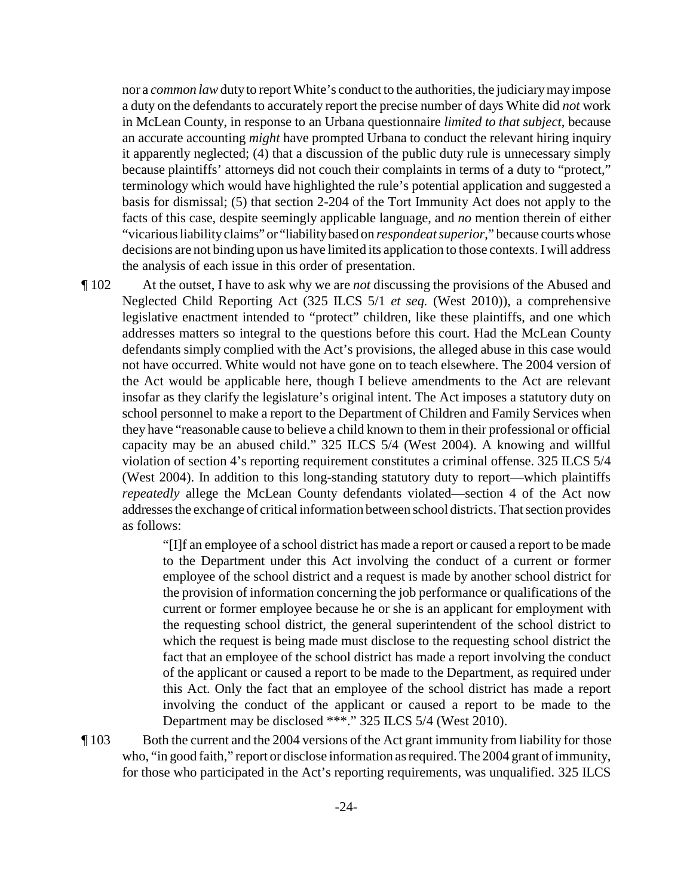nor a *common law*dutyto report White's conduct to the authorities, the judiciarymay impose a duty on the defendants to accurately report the precise number of days White did *not* work in McLean County, in response to an Urbana questionnaire *limited to that subject*, because an accurate accounting *might* have prompted Urbana to conduct the relevant hiring inquiry it apparently neglected; (4) that a discussion of the public duty rule is unnecessary simply because plaintiffs' attorneys did not couch their complaints in terms of a duty to "protect," terminology which would have highlighted the rule's potential application and suggested a basis for dismissal; (5) that section 2-204 of the Tort Immunity Act does not apply to the facts of this case, despite seemingly applicable language, and *no* mention therein of either "vicarious liability claims" or "liability based on *respondeat superior*," because courts whose decisions are not binding upon us have limited its application to those contexts. Iwill address the analysis of each issue in this order of presentation.

¶ 102 At the outset, I have to ask why we are *not* discussing the provisions of the Abused and Neglected Child Reporting Act (325 ILCS 5/1 *et seq.* (West 2010)), a comprehensive legislative enactment intended to "protect" children, like these plaintiffs, and one which addresses matters so integral to the questions before this court. Had the McLean County defendants simply complied with the Act's provisions, the alleged abuse in this case would not have occurred. White would not have gone on to teach elsewhere. The 2004 version of the Act would be applicable here, though I believe amendments to the Act are relevant insofar as they clarify the legislature's original intent. The Act imposes a statutory duty on school personnel to make a report to the Department of Children and Family Services when they have "reasonable cause to believe a child known to them in their professional or official capacity may be an abused child." 325 ILCS 5/4 (West 2004). A knowing and willful violation of section 4's reporting requirement constitutes a criminal offense. 325 ILCS 5/4 (West 2004). In addition to this long-standing statutory duty to report—which plaintiffs *repeatedly* allege the McLean County defendants violated—section 4 of the Act now addressesthe exchange of critical information between school districts. That section provides as follows:

> "[I]f an employee of a school district has made a report or caused a report to be made to the Department under this Act involving the conduct of a current or former employee of the school district and a request is made by another school district for the provision of information concerning the job performance or qualifications of the current or former employee because he or she is an applicant for employment with the requesting school district, the general superintendent of the school district to which the request is being made must disclose to the requesting school district the fact that an employee of the school district has made a report involving the conduct of the applicant or caused a report to be made to the Department, as required under this Act. Only the fact that an employee of the school district has made a report involving the conduct of the applicant or caused a report to be made to the Department may be disclosed \*\*\*." 325 ILCS 5/4 (West 2010).

¶ 103 Both the current and the 2004 versions of the Act grant immunity from liability for those who, "in good faith," report or disclose information as required. The 2004 grant of immunity, for those who participated in the Act's reporting requirements, was unqualified. 325 ILCS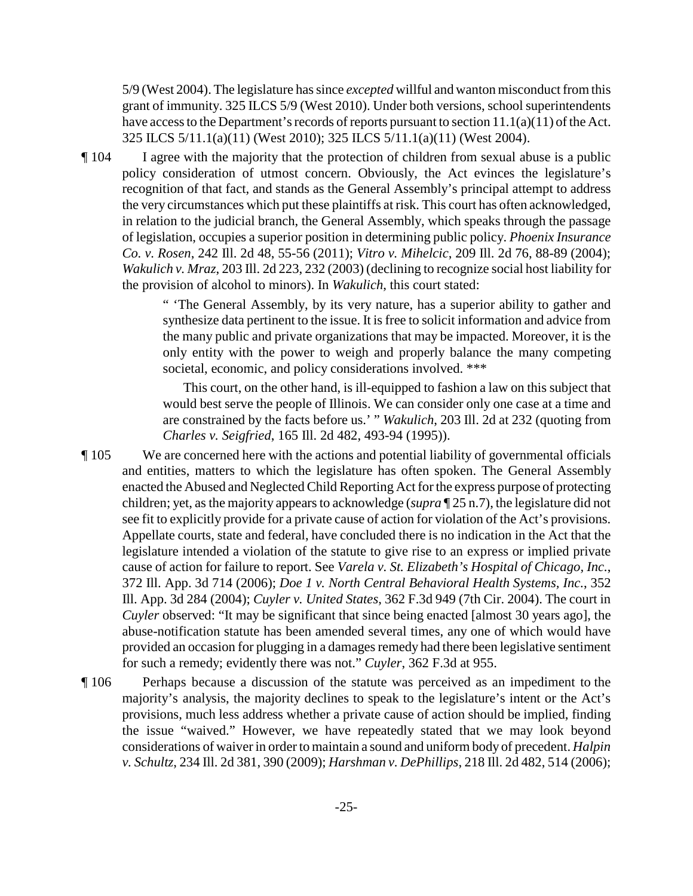5/9 (West 2004). The legislature has since *excepted* willful and wanton misconduct from this grant of immunity. 325 ILCS 5/9 (West 2010). Under both versions, school superintendents have access to the Department's records of reports pursuant to section 11.1(a)(11) of the Act. 325 ILCS 5/11.1(a)(11) (West 2010); 325 ILCS 5/11.1(a)(11) (West 2004).

¶ 104 I agree with the majority that the protection of children from sexual abuse is a public policy consideration of utmost concern. Obviously, the Act evinces the legislature's recognition of that fact, and stands as the General Assembly's principal attempt to address the very circumstances which put these plaintiffs at risk. This court has often acknowledged, in relation to the judicial branch, the General Assembly, which speaks through the passage of legislation, occupies a superior position in determining public policy. *Phoenix Insurance Co. v. Rosen*, 242 Ill. 2d 48, 55-56 (2011); *Vitro v. Mihelcic*, 209 Ill. 2d 76, 88-89 (2004); *Wakulich v. Mraz*, 203 Ill. 2d 223, 232 (2003) (declining to recognize social host liability for the provision of alcohol to minors). In *Wakulich*, this court stated:

> " 'The General Assembly, by its very nature, has a superior ability to gather and synthesize data pertinent to the issue. It is free to solicit information and advice from the many public and private organizations that may be impacted. Moreover, it is the only entity with the power to weigh and properly balance the many competing societal, economic, and policy considerations involved. \*\*\*

> This court, on the other hand, is ill-equipped to fashion a law on this subject that would best serve the people of Illinois. We can consider only one case at a time and are constrained by the facts before us.' " *Wakulich*, 203 Ill. 2d at 232 (quoting from *Charles v. Seigfried*, 165 Ill. 2d 482, 493-94 (1995)).

- ¶ 105 We are concerned here with the actions and potential liability of governmental officials and entities, matters to which the legislature has often spoken. The General Assembly enacted the Abused and Neglected Child Reporting Act for the express purpose of protecting children; yet, as the majority appears to acknowledge (*supra* ¶ 25 n.7), the legislature did not see fit to explicitly provide for a private cause of action for violation of the Act's provisions. Appellate courts, state and federal, have concluded there is no indication in the Act that the legislature intended a violation of the statute to give rise to an express or implied private cause of action for failure to report. See *Varela v. St. Elizabeth's Hospital of Chicago, Inc.*, 372 Ill. App. 3d 714 (2006); *Doe 1 v. North Central Behavioral Health Systems, Inc.*, 352 Ill. App. 3d 284 (2004); *Cuyler v. United States*, 362 F.3d 949 (7th Cir. 2004). The court in *Cuyler* observed: "It may be significant that since being enacted [almost 30 years ago], the abuse-notification statute has been amended several times, any one of which would have provided an occasion for plugging in a damages remedy had there been legislative sentiment for such a remedy; evidently there was not." *Cuyler*, 362 F.3d at 955.
- ¶ 106 Perhaps because a discussion of the statute was perceived as an impediment to the majority's analysis, the majority declines to speak to the legislature's intent or the Act's provisions, much less address whether a private cause of action should be implied, finding the issue "waived." However, we have repeatedly stated that we may look beyond considerations of waiverin orderto maintain a sound and uniform body of precedent. *Halpin v. Schultz*, 234 Ill. 2d 381, 390 (2009); *Harshman v. DePhillips*, 218 Ill. 2d 482, 514 (2006);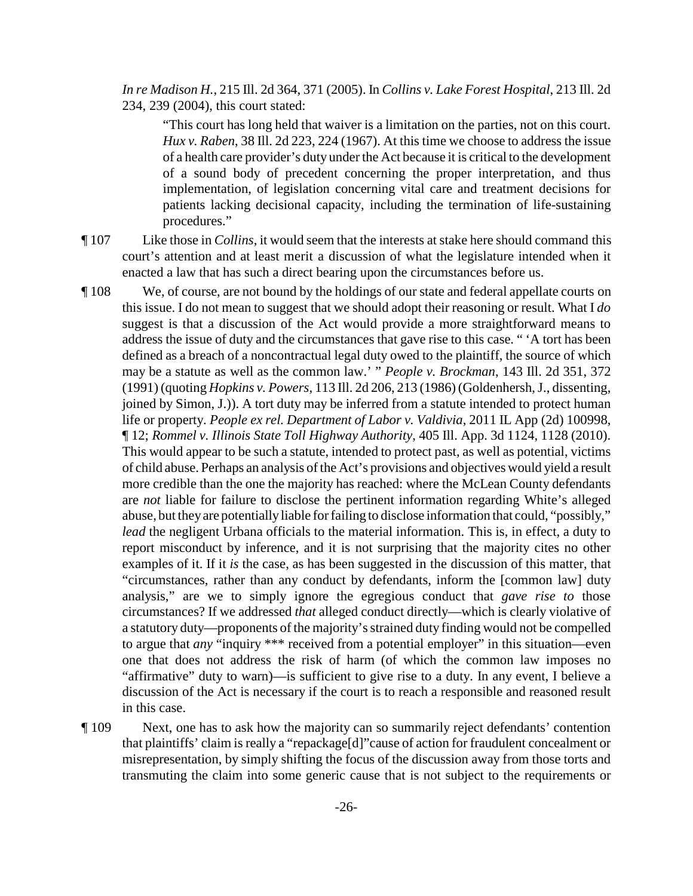*In re Madison H.*, 215 Ill. 2d 364, 371 (2005). In *Collins v. Lake Forest Hospital*, 213 Ill. 2d 234, 239 (2004), this court stated:

"This court has long held that waiver is a limitation on the parties, not on this court. *Hux v. Raben*, 38 Ill. 2d 223, 224 (1967). At this time we choose to address the issue of a health care provider's duty under the Act because it is critical to the development of a sound body of precedent concerning the proper interpretation, and thus implementation, of legislation concerning vital care and treatment decisions for patients lacking decisional capacity, including the termination of life-sustaining procedures."

- ¶ 107 Like those in *Collins*, it would seem that the interests at stake here should command this court's attention and at least merit a discussion of what the legislature intended when it enacted a law that has such a direct bearing upon the circumstances before us.
- ¶ 108 We, of course, are not bound by the holdings of our state and federal appellate courts on this issue. I do not mean to suggest that we should adopt their reasoning or result. What I *do* suggest is that a discussion of the Act would provide a more straightforward means to address the issue of duty and the circumstances that gave rise to this case. " 'A tort has been defined as a breach of a noncontractual legal duty owed to the plaintiff, the source of which may be a statute as well as the common law.' " *People v. Brockman*, 143 Ill. 2d 351, 372 (1991) (quoting *Hopkins v. Powers*, 113 Ill. 2d 206, 213 (1986) (Goldenhersh, J., dissenting, joined by Simon, J.)). A tort duty may be inferred from a statute intended to protect human life or property. *People ex rel. Department of Labor v. Valdivia*, 2011 IL App (2d) 100998, ¶ 12; *Rommel v. Illinois State Toll Highway Authority*, 405 Ill. App. 3d 1124, 1128 (2010). This would appear to be such a statute, intended to protect past, as well as potential, victims of child abuse. Perhaps an analysis of the Act's provisions and objectives would yield a result more credible than the one the majority has reached: where the McLean County defendants are *not* liable for failure to disclose the pertinent information regarding White's alleged abuse, but they are potentially liable for failing to disclose information that could, "possibly," *lead* the negligent Urbana officials to the material information. This is, in effect, a duty to report misconduct by inference, and it is not surprising that the majority cites no other examples of it. If it *is* the case, as has been suggested in the discussion of this matter, that "circumstances, rather than any conduct by defendants, inform the [common law] duty analysis," are we to simply ignore the egregious conduct that *gave rise to* those circumstances? If we addressed *that* alleged conduct directly—which is clearly violative of a statutory duty—proponents of the majority's strained duty finding would not be compelled to argue that *any* "inquiry \*\*\* received from a potential employer" in this situation—even one that does not address the risk of harm (of which the common law imposes no "affirmative" duty to warn)—is sufficient to give rise to a duty. In any event, I believe a discussion of the Act is necessary if the court is to reach a responsible and reasoned result in this case.

¶ 109 Next, one has to ask how the majority can so summarily reject defendants' contention that plaintiffs' claim is really a "repackage[d]"cause of action for fraudulent concealment or misrepresentation, by simply shifting the focus of the discussion away from those torts and transmuting the claim into some generic cause that is not subject to the requirements or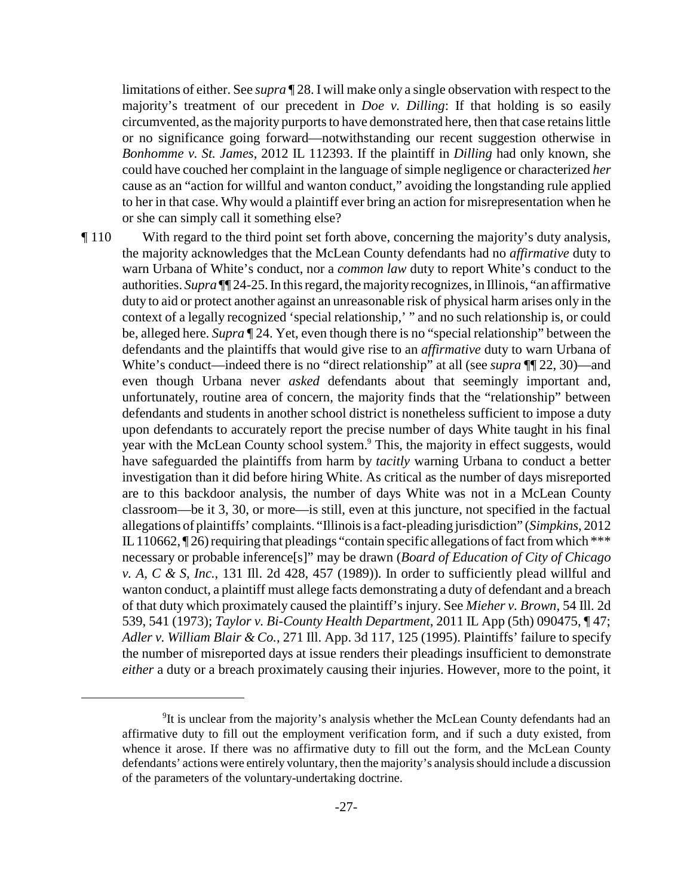limitations of either. See *supra* ¶ 28. I will make only a single observation with respect to the majority's treatment of our precedent in *Doe v. Dilling*: If that holding is so easily circumvented, as the majority purports to have demonstrated here, then that case retains little or no significance going forward—notwithstanding our recent suggestion otherwise in *Bonhomme v. St. James*, 2012 IL 112393. If the plaintiff in *Dilling* had only known, she could have couched her complaint in the language of simple negligence or characterized *her* cause as an "action for willful and wanton conduct," avoiding the longstanding rule applied to her in that case. Why would a plaintiff ever bring an action for misrepresentation when he or she can simply call it something else?

¶ 110 With regard to the third point set forth above, concerning the majority's duty analysis, the majority acknowledges that the McLean County defendants had no *affirmative* duty to warn Urbana of White's conduct, nor a *common law* duty to report White's conduct to the authorities. *Supra* ¶¶ 24-25. In this regard, the majorityrecognizes, in Illinois, "an affirmative duty to aid or protect another against an unreasonable risk of physical harm arises only in the context of a legally recognized 'special relationship,' " and no such relationship is, or could be, alleged here. *Supra* ¶ 24. Yet, even though there is no "special relationship" between the defendants and the plaintiffs that would give rise to an *affirmative* duty to warn Urbana of White's conduct—indeed there is no "direct relationship" at all (see *supra* ¶¶ 22, 30)—and even though Urbana never *asked* defendants about that seemingly important and, unfortunately, routine area of concern, the majority finds that the "relationship" between defendants and students in another school district is nonetheless sufficient to impose a duty upon defendants to accurately report the precise number of days White taught in his final year with the McLean County school system.<sup>9</sup> This, the majority in effect suggests, would have safeguarded the plaintiffs from harm by *tacitly* warning Urbana to conduct a better investigation than it did before hiring White. As critical as the number of days misreported are to this backdoor analysis, the number of days White was not in a McLean County classroom—be it 3, 30, or more—is still, even at this juncture, not specified in the factual allegations of plaintiffs' complaints. "Illinoisis a fact-pleading jurisdiction" (*Simpkins*, 2012 IL 110662,  $\P$ 26) requiring that pleadings "contain specific allegations of fact from which \*\*\* necessary or probable inference[s]" may be drawn (*Board of Education of City of Chicago v. A, C & S, Inc.*, 131 Ill. 2d 428, 457 (1989)). In order to sufficiently plead willful and wanton conduct, a plaintiff must allege facts demonstrating a duty of defendant and a breach of that duty which proximately caused the plaintiff's injury. See *Mieher v. Brown*, 54 Ill. 2d 539, 541 (1973); *Taylor v. Bi-County Health Department*, 2011 IL App (5th) 090475, ¶ 47; *Adler v. William Blair & Co.*, 271 Ill. App. 3d 117, 125 (1995). Plaintiffs' failure to specify the number of misreported days at issue renders their pleadings insufficient to demonstrate *either* a duty or a breach proximately causing their injuries. However, more to the point, it

<sup>&</sup>lt;sup>9</sup>It is unclear from the majority's analysis whether the McLean County defendants had an affirmative duty to fill out the employment verification form, and if such a duty existed, from whence it arose. If there was no affirmative duty to fill out the form, and the McLean County defendants' actions were entirely voluntary, then the majority's analysis should include a discussion of the parameters of the voluntary-undertaking doctrine.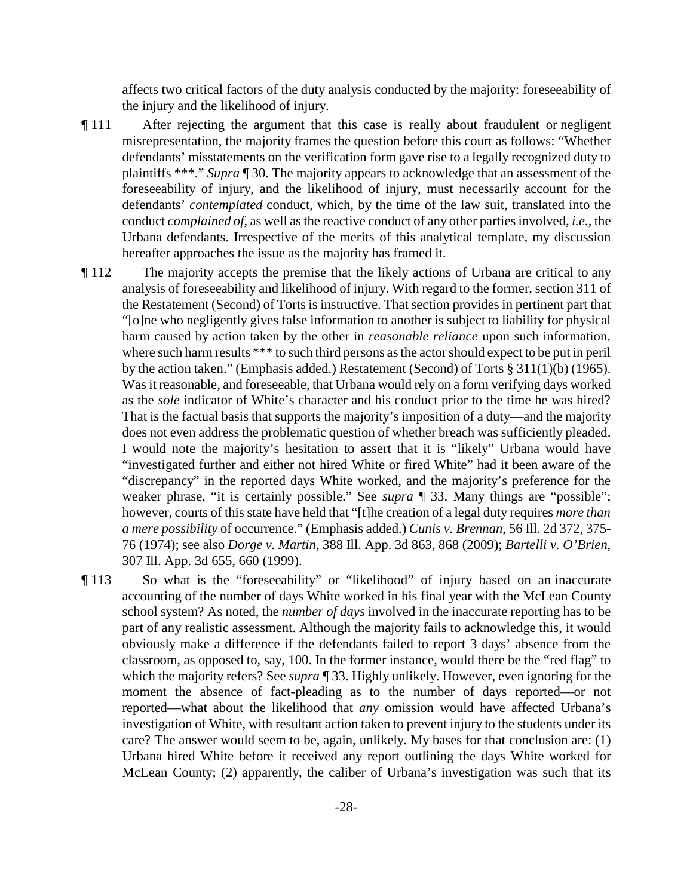affects two critical factors of the duty analysis conducted by the majority: foreseeability of the injury and the likelihood of injury.

- ¶ 111 After rejecting the argument that this case is really about fraudulent or negligent misrepresentation, the majority frames the question before this court as follows: "Whether defendants' misstatements on the verification form gave rise to a legally recognized duty to plaintiffs \*\*\*." *Supra* ¶ 30. The majority appears to acknowledge that an assessment of the foreseeability of injury, and the likelihood of injury, must necessarily account for the defendants' *contemplated* conduct, which, by the time of the law suit, translated into the conduct *complained of*, as well as the reactive conduct of any other parties involved, *i.e.*, the Urbana defendants. Irrespective of the merits of this analytical template, my discussion hereafter approaches the issue as the majority has framed it.
- ¶ 112 The majority accepts the premise that the likely actions of Urbana are critical to any analysis of foreseeability and likelihood of injury. With regard to the former, section 311 of the Restatement (Second) of Torts is instructive. That section provides in pertinent part that "[o]ne who negligently gives false information to another is subject to liability for physical harm caused by action taken by the other in *reasonable reliance* upon such information, where such harm results \*\*\* to such third persons as the actor should expect to be put in peril by the action taken." (Emphasis added.) Restatement (Second) of Torts § 311(1)(b) (1965). Was it reasonable, and foreseeable, that Urbana would rely on a form verifying days worked as the *sole* indicator of White's character and his conduct prior to the time he was hired? That is the factual basis that supports the majority's imposition of a duty—and the majority does not even address the problematic question of whether breach was sufficiently pleaded. I would note the majority's hesitation to assert that it is "likely" Urbana would have "investigated further and either not hired White or fired White" had it been aware of the "discrepancy" in the reported days White worked, and the majority's preference for the weaker phrase, "it is certainly possible." See *supra* ¶ 33. Many things are "possible"; however, courts of this state have held that "[t]he creation of a legal duty requires *more than a mere possibility* of occurrence." (Emphasis added.) *Cunis v. Brennan*, 56 Ill. 2d 372, 375- 76 (1974); see also *Dorge v. Martin*, 388 Ill. App. 3d 863, 868 (2009); *Bartelli v. O'Brien*, 307 Ill. App. 3d 655, 660 (1999).
- ¶ 113 So what is the "foreseeability" or "likelihood" of injury based on an inaccurate accounting of the number of days White worked in his final year with the McLean County school system? As noted, the *number of days* involved in the inaccurate reporting has to be part of any realistic assessment. Although the majority fails to acknowledge this, it would obviously make a difference if the defendants failed to report 3 days' absence from the classroom, as opposed to, say, 100. In the former instance, would there be the "red flag" to which the majority refers? See *supra* ¶ 33. Highly unlikely. However, even ignoring for the moment the absence of fact-pleading as to the number of days reported—or not reported—what about the likelihood that *any* omission would have affected Urbana's investigation of White, with resultant action taken to prevent injury to the students under its care? The answer would seem to be, again, unlikely. My bases for that conclusion are: (1) Urbana hired White before it received any report outlining the days White worked for McLean County; (2) apparently, the caliber of Urbana's investigation was such that its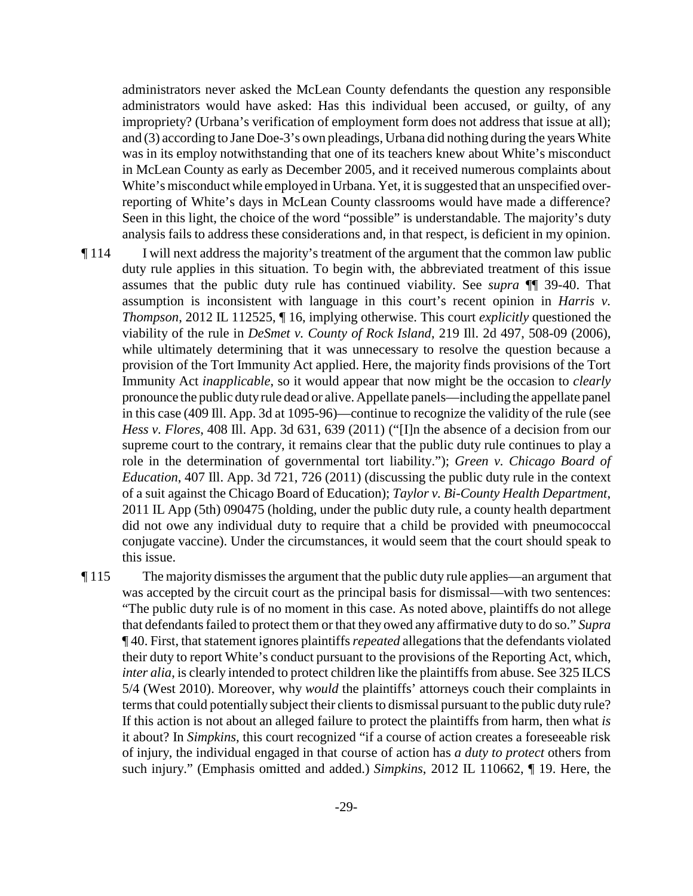administrators never asked the McLean County defendants the question any responsible administrators would have asked: Has this individual been accused, or guilty, of any impropriety? (Urbana's verification of employment form does not address that issue at all); and (3) according to Jane Doe-3's own pleadings, Urbana did nothing during the years White was in its employ notwithstanding that one of its teachers knew about White's misconduct in McLean County as early as December 2005, and it received numerous complaints about White's misconduct while employed in Urbana. Yet, it is suggested that an unspecified overreporting of White's days in McLean County classrooms would have made a difference? Seen in this light, the choice of the word "possible" is understandable. The majority's duty analysis fails to address these considerations and, in that respect, is deficient in my opinion.

¶ 114 I will next address the majority's treatment of the argument that the common law public duty rule applies in this situation. To begin with, the abbreviated treatment of this issue assumes that the public duty rule has continued viability. See *supra* ¶¶ 39-40. That assumption is inconsistent with language in this court's recent opinion in *Harris v. Thompson*, 2012 IL 112525, ¶ 16, implying otherwise. This court *explicitly* questioned the viability of the rule in *DeSmet v. County of Rock Island*, 219 Ill. 2d 497, 508-09 (2006), while ultimately determining that it was unnecessary to resolve the question because a provision of the Tort Immunity Act applied. Here, the majority finds provisions of the Tort Immunity Act *inapplicable*, so it would appear that now might be the occasion to *clearly* pronounce the public dutyrule dead or alive. Appellate panels—including the appellate panel in this case (409 Ill. App. 3d at 1095-96)—continue to recognize the validity of the rule (see *Hess v. Flores*, 408 Ill. App. 3d 631, 639 (2011) ("[I]n the absence of a decision from our supreme court to the contrary, it remains clear that the public duty rule continues to play a role in the determination of governmental tort liability."); *Green v. Chicago Board of Education*, 407 Ill. App. 3d 721, 726 (2011) (discussing the public duty rule in the context of a suit against the Chicago Board of Education); *Taylor v. Bi-County Health Department*, 2011 IL App (5th) 090475 (holding, under the public duty rule, a county health department did not owe any individual duty to require that a child be provided with pneumococcal conjugate vaccine). Under the circumstances, it would seem that the court should speak to this issue.

¶ 115 The majority dismisses the argument that the public duty rule applies—an argument that was accepted by the circuit court as the principal basis for dismissal—with two sentences: "The public duty rule is of no moment in this case. As noted above, plaintiffs do not allege that defendants failed to protect them or that they owed any affirmative duty to do so." *Supra* ¶ 40. First, that statement ignores plaintiffs *repeated* allegations that the defendants violated their duty to report White's conduct pursuant to the provisions of the Reporting Act, which, *inter alia*, is clearly intended to protect children like the plaintiffs from abuse. See 325 ILCS 5/4 (West 2010). Moreover, why *would* the plaintiffs' attorneys couch their complaints in terms that could potentially subject their clients to dismissal pursuant to the public duty rule? If this action is not about an alleged failure to protect the plaintiffs from harm, then what *is* it about? In *Simpkins*, this court recognized "if a course of action creates a foreseeable risk of injury, the individual engaged in that course of action has *a duty to protect* others from such injury." (Emphasis omitted and added.) *Simpkins*, 2012 IL 110662, ¶ 19. Here, the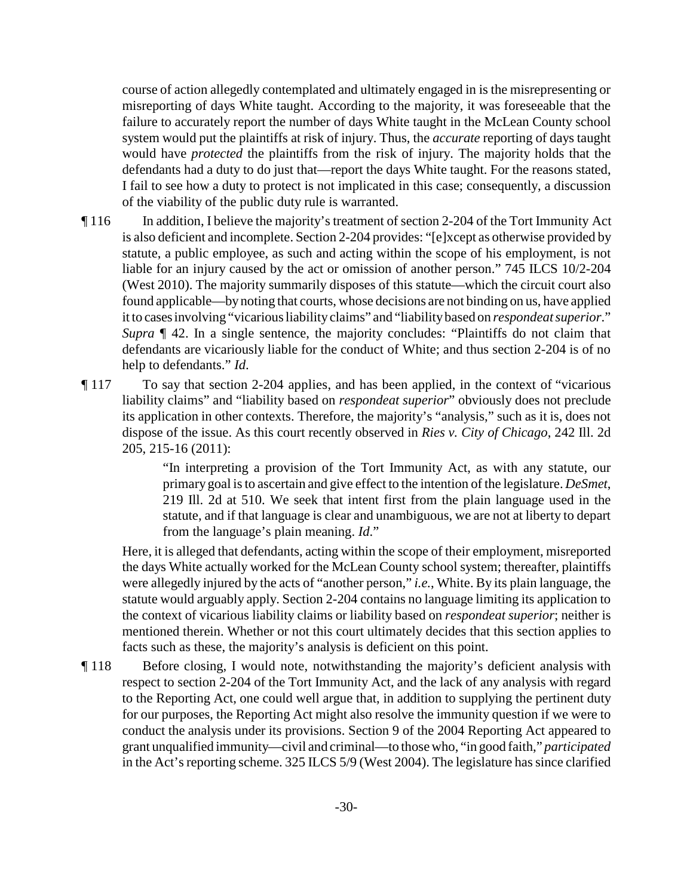course of action allegedly contemplated and ultimately engaged in is the misrepresenting or misreporting of days White taught. According to the majority, it was foreseeable that the failure to accurately report the number of days White taught in the McLean County school system would put the plaintiffs at risk of injury. Thus, the *accurate* reporting of days taught would have *protected* the plaintiffs from the risk of injury. The majority holds that the defendants had a duty to do just that—report the days White taught. For the reasons stated, I fail to see how a duty to protect is not implicated in this case; consequently, a discussion of the viability of the public duty rule is warranted.

- ¶ 116 In addition, I believe the majority's treatment of section 2-204 of the Tort Immunity Act is also deficient and incomplete. Section 2-204 provides: "[e]xcept as otherwise provided by statute, a public employee, as such and acting within the scope of his employment, is not liable for an injury caused by the act or omission of another person." 745 ILCS 10/2-204 (West 2010). The majority summarily disposes of this statute—which the circuit court also found applicable—bynoting that courts, whose decisions are not binding on us, have applied it to casesinvolving "vicarious liability claims" and "liabilitybased on *respondeat superior*." *Supra*  $\llbracket$  42. In a single sentence, the majority concludes: "Plaintiffs do not claim that defendants are vicariously liable for the conduct of White; and thus section 2-204 is of no help to defendants." *Id*.
- ¶ 117 To say that section 2-204 applies, and has been applied, in the context of "vicarious liability claims" and "liability based on *respondeat superior*" obviously does not preclude its application in other contexts. Therefore, the majority's "analysis," such as it is, does not dispose of the issue. As this court recently observed in *Ries v. City of Chicago*, 242 Ill. 2d 205, 215-16 (2011):

"In interpreting a provision of the Tort Immunity Act, as with any statute, our primary goal is to ascertain and give effect to the intention of the legislature. *DeSmet*, 219 Ill. 2d at 510. We seek that intent first from the plain language used in the statute, and if that language is clear and unambiguous, we are not at liberty to depart from the language's plain meaning. *Id*."

Here, it is alleged that defendants, acting within the scope of their employment, misreported the days White actually worked for the McLean County school system; thereafter, plaintiffs were allegedly injured by the acts of "another person," *i.e.*, White. By its plain language, the statute would arguably apply. Section 2-204 contains no language limiting its application to the context of vicarious liability claims or liability based on *respondeat superior*; neither is mentioned therein. Whether or not this court ultimately decides that this section applies to facts such as these, the majority's analysis is deficient on this point.

¶ 118 Before closing, I would note, notwithstanding the majority's deficient analysis with respect to section 2-204 of the Tort Immunity Act, and the lack of any analysis with regard to the Reporting Act, one could well argue that, in addition to supplying the pertinent duty for our purposes, the Reporting Act might also resolve the immunity question if we were to conduct the analysis under its provisions. Section 9 of the 2004 Reporting Act appeared to grant unqualified immunity—civil and criminal—to those who, "in good faith," *participated* in the Act's reporting scheme. 325 ILCS 5/9 (West 2004). The legislature has since clarified